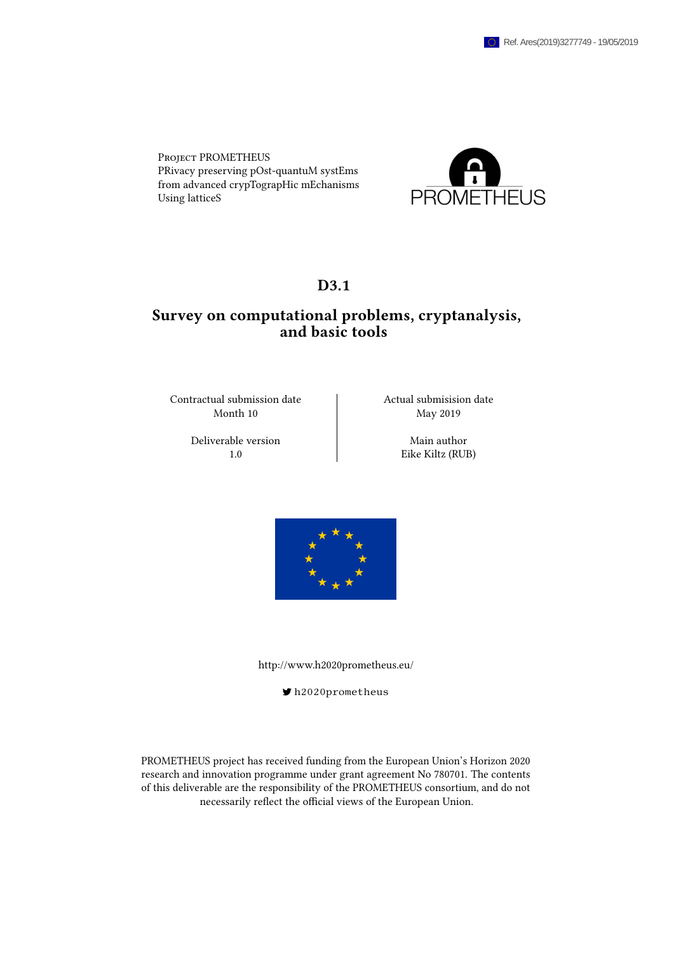Project PROMETHEUS PRivacy preserving pOst-quantuM systEms from advanced crypTograpHic mEchanisms Using latticeS



## D<sub>3.1</sub>

## Survey on computational problems, cryptanalysis, and basic tools

Contractual submission date  $\qquad$  Actual submisision date Month 10 May 2019

Deliverable version Main author

1.0 Eike Kiltz (RUB)



<http://www.h2020prometheus.eu/>

[h2020prometheus](https://twitter.com/h2020prometheus)

PROMETHEUS project has received funding from the European Union's Horizon 2020 research and innovation programme under grant agreement No 780701. The contents of this deliverable are the responsibility of the PROMETHEUS consortium, and do not necessarily reflect the official views of the European Union.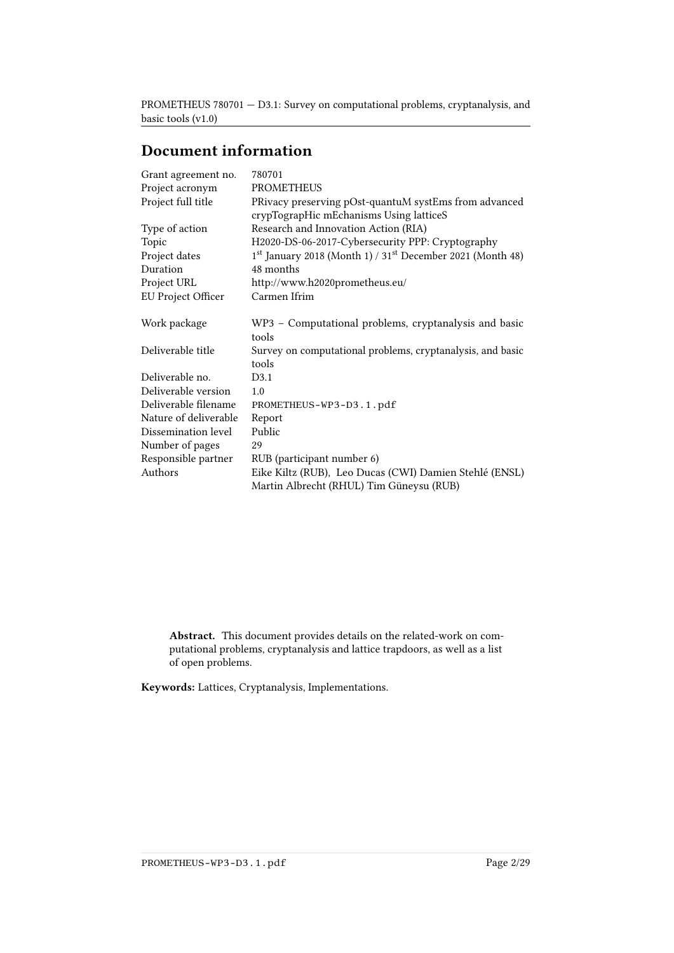# Document information

| Grant agreement no.       | 780701                                                                                             |
|---------------------------|----------------------------------------------------------------------------------------------------|
| Project acronym           | <b>PROMETHEUS</b>                                                                                  |
| Project full title        | PRivacy preserving pOst-quantuM systEms from advanced                                              |
|                           | crypTograpHic mEchanisms Using latticeS                                                            |
| Type of action            | Research and Innovation Action (RIA)                                                               |
| Topic                     | H2020-DS-06-2017-Cybersecurity PPP: Cryptography                                                   |
| Project dates             | 1 <sup>st</sup> January 2018 (Month 1) / 31 <sup>st</sup> December 2021 (Month 48)                 |
| Duration                  | 48 months                                                                                          |
| Project URL               | http://www.h2020prometheus.eu/                                                                     |
| <b>EU Project Officer</b> | Carmen Ifrim                                                                                       |
| Work package              | WP3 - Computational problems, cryptanalysis and basic<br>tools                                     |
| Deliverable title         |                                                                                                    |
|                           | Survey on computational problems, cryptanalysis, and basic<br>tools                                |
| Deliverable no.           | D3.1                                                                                               |
| Deliverable version       | 1.0                                                                                                |
| Deliverable filename      | PROMETHEUS-WP3-D3.1.pdf                                                                            |
| Nature of deliverable     | Report                                                                                             |
| Dissemination level       | Public                                                                                             |
| Number of pages           | 29                                                                                                 |
| Responsible partner       | RUB (participant number 6)                                                                         |
| Authors                   | Eike Kiltz (RUB), Leo Ducas (CWI) Damien Stehlé (ENSL)<br>Martin Albrecht (RHUL) Tim Güneysu (RUB) |

Abstract. This document provides details on the related-work on computational problems, cryptanalysis and lattice trapdoors, as well as a list of open problems.

Keywords: Lattices, Cryptanalysis, Implementations.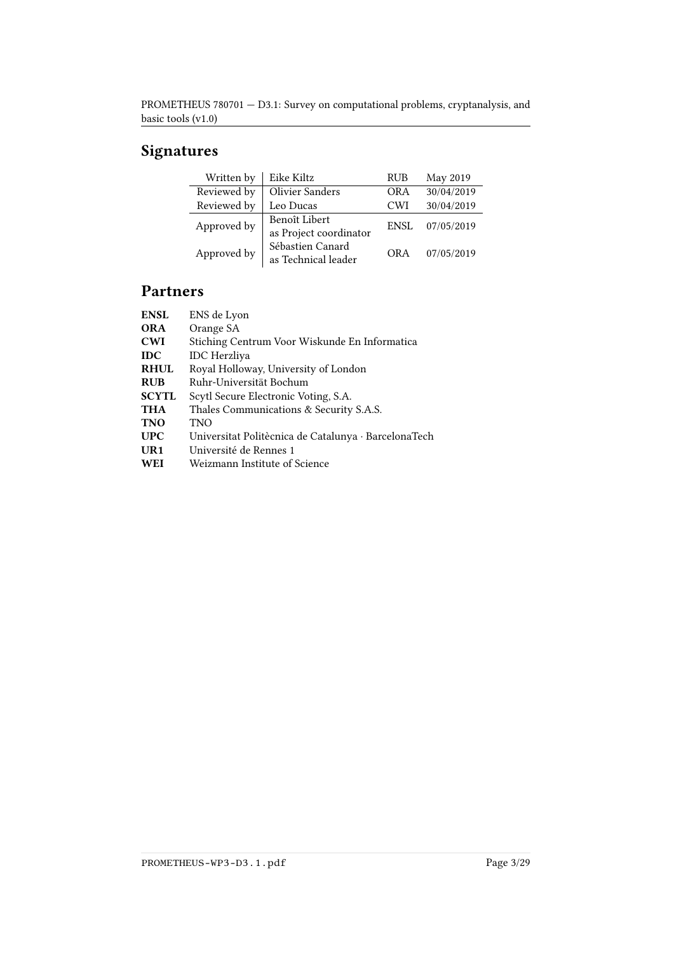# Signatures

| Written by  | Eike Kiltz             | <b>RUB</b>  | May 2019   |
|-------------|------------------------|-------------|------------|
| Reviewed by | <b>Olivier Sanders</b> | OR A        | 30/04/2019 |
| Reviewed by | Leo Ducas              | <b>CWI</b>  | 30/04/2019 |
| Approved by | Benoît Libert          | <b>ENSL</b> | 07/05/2019 |
|             | as Project coordinator |             |            |
| Approved by | Sébastien Canard       | <b>ORA</b>  | 07/05/2019 |
|             | as Technical leader    |             |            |

# Partners

| <b>ENSL</b>  | ENS de Lyon                                          |
|--------------|------------------------------------------------------|
| <b>ORA</b>   | Orange SA                                            |
| <b>CWI</b>   | Stiching Centrum Voor Wiskunde En Informatica        |
| <b>IDC</b>   | <b>IDC</b> Herzliya                                  |
| <b>RHUL</b>  | Royal Holloway, University of London                 |
| <b>RUB</b>   | Ruhr-Universität Bochum                              |
| <b>SCYTL</b> | Scytl Secure Electronic Voting, S.A.                 |
| <b>THA</b>   | Thales Communications & Security S.A.S.              |
| <b>TNO</b>   | TNO                                                  |
| <b>UPC</b>   | Universitat Politècnica de Catalunya · BarcelonaTech |
| $_{\rm UR1}$ | Université de Rennes 1                               |
| <b>WEI</b>   | Weizmann Institute of Science                        |
|              |                                                      |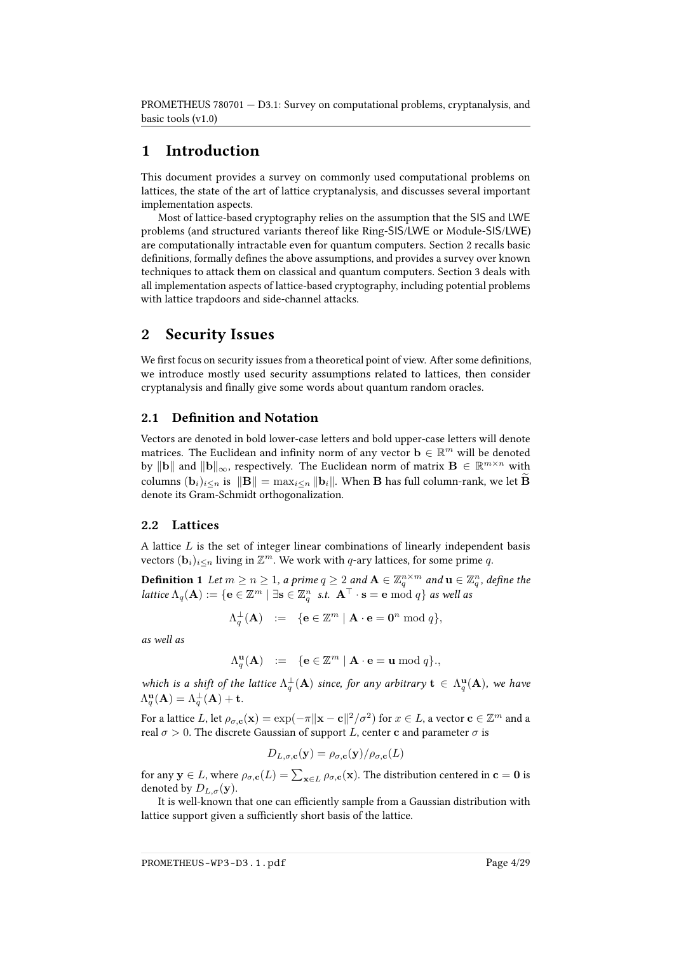## 1 Introduction

This document provides a survey on commonly used computational problems on lattices, the state of the art of lattice cryptanalysis, and discusses several important implementation aspects.

Most of lattice-based cryptography relies on the assumption that the SIS and LWE problems (and structured variants thereof like Ring-SIS/LWE or Module-SIS/LWE) are computationally intractable even for quantum computers. Section [2](#page-3-0) recalls basic definitions, formally defines the above assumptions, and provides a survey over known techniques to attack them on classical and quantum computers. Section [3](#page-10-0) deals with all implementation aspects of lattice-based cryptography, including potential problems with lattice trapdoors and side-channel attacks.

## <span id="page-3-0"></span>2 Security Issues

We first focus on security issues from a theoretical point of view. After some definitions, we introduce mostly used security assumptions related to lattices, then consider cryptanalysis and finally give some words about quantum random oracles.

### 2.1 Definition and Notation

Vectors are denoted in bold lower-case letters and bold upper-case letters will denote matrices. The Euclidean and infinity norm of any vector  $\mathbf{b} \in \mathbb{R}^m$  will be denoted by  $\|\mathbf{b}\|$  and  $\|\mathbf{b}\|_{\infty}$ , respectively. The Euclidean norm of matrix  $\mathbf{B} \in \mathbb{R}^{m \times n}$  with columns  $(\mathbf{b}_i)_{i\leq n}$  is  $\|\mathbf{B}\| = \max_{i\leq n} \|\mathbf{b}_i\|$ . When  $\mathbf B$  has full column-rank, we let  $\widetilde{\mathbf{B}}$ denote its Gram-Schmidt orthogonalization.

## 2.2 Lattices

A lattice  $L$  is the set of integer linear combinations of linearly independent basis vectors  $(\mathbf{b}_i)_{i\leq n}$  living in  $\mathbb{Z}^m$ . We work with q-ary lattices, for some prime q.

**Definition 1** Let  $m \geq n \geq 1$ , a prime  $q \geq 2$  and  $\mathbf{A} \in \mathbb{Z}_q^{n \times m}$  and  $\mathbf{u} \in \mathbb{Z}_q^n$ , define the lattice  $\Lambda_q(\mathbf{A}) := \{ \mathbf{e} \in \mathbb{Z}^m \mid \exists \mathbf{s} \in \mathbb{Z}_q^n \; \text{ s.t. } \; \mathbf{A}^\top \cdot \mathbf{s} = \mathbf{e} \bmod q \}$  as well as

$$
\Lambda^{\perp}_q(\mathbf A)\;\;:=\;\; \{\mathbf{e}\in\mathbb{Z}^m\mid \mathbf{A}\cdot\mathbf{e}=\mathbf{0}^n\;\mathrm{mod}\;q\},
$$

as well as

$$
\Lambda_q^{\mathbf{u}}(\mathbf{A}) \ := \ \{ \mathbf{e} \in \mathbb{Z}^m \mid \mathbf{A} \cdot \mathbf{e} = \mathbf{u} \bmod q \},
$$

which is a shift of the lattice  $\Lambda_q^{\perp}(\mathbf{A})$  since, for any arbitrary  $\mathbf{t} \in \Lambda_q^{\mathbf{u}}(\mathbf{A})$ , we have  $\Lambda^{\mathbf{u}}_q(\mathbf{A}) = \Lambda^{\perp}_q(\mathbf{A}) + \mathbf{t}.$ 

For a lattice  $L$ , let  $\rho_{\sigma,\mathbf{c}}(\mathbf{x})=\exp(-\pi\|\mathbf{x}-\mathbf{c}\|^2/\sigma^2)$  for  $x\in L$ , a vector  $\mathbf{c}\in\mathbb{Z}^m$  and a real  $\sigma > 0$ . The discrete Gaussian of support L, center **c** and parameter  $\sigma$  is

$$
D_{L,\sigma,\mathbf{c}}(\mathbf{y}) = \rho_{\sigma,\mathbf{c}}(\mathbf{y})/\rho_{\sigma,\mathbf{c}}(L)
$$

for any  $\mathbf{y}\in L,$  where  $\rho_{\sigma,\mathbf{c}}(L)=\sum_{\mathbf{x}\in L}\rho_{\sigma,\mathbf{c}}(\mathbf{x}).$  The distribution centered in  $\mathbf{c}=\mathbf{0}$  is denoted by  $D_{L,\sigma}(\mathbf{y})$ .

It is well-known that one can efficiently sample from a Gaussian distribution with lattice support given a sufficiently short basis of the lattice.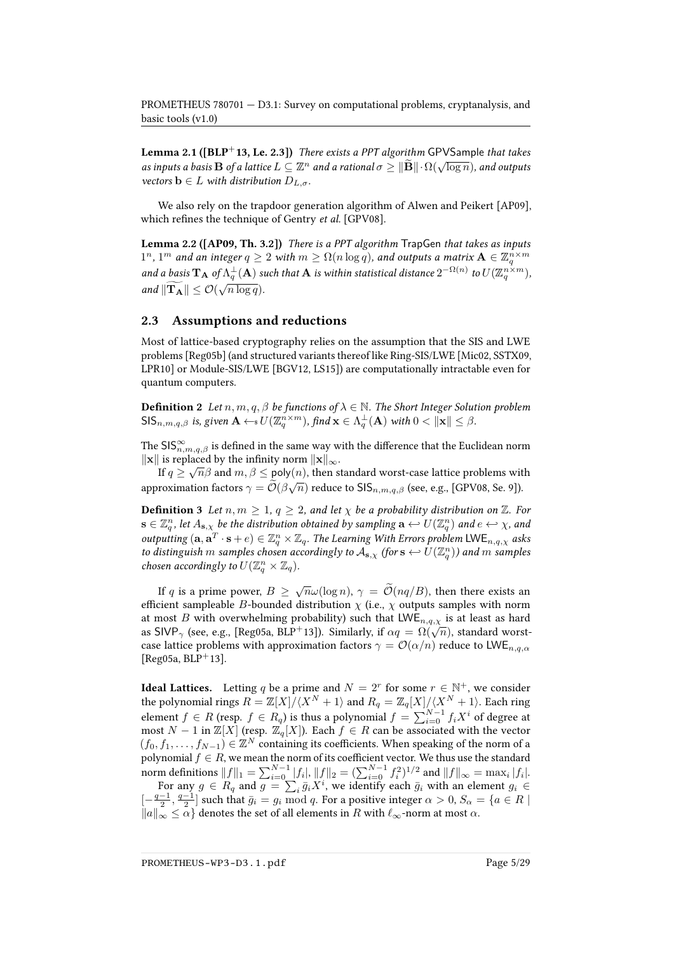**Lemma 2.1 ([\[BLP](#page-21-0)**<sup>+</sup>13, Le. 2.3]) There exists a PPT algorithm GPVSample that takes **Lemma 2.1** ([DLI 13, Le. 2.5]) There exists a FTT algorithm of V Sample that takes<br>as inputs a basis B of a lattice  $L \subseteq \mathbb{Z}^n$  and a rational  $\sigma \geq ||\widetilde{\mathbf{B}}|| \cdot \Omega(\sqrt{\log n})$ , and outputs vectors  $\mathbf{b} \in L$  with distribution  $D_{L,\sigma}$ .

We also rely on the trapdoor generation algorithm of Alwen and Peikert [\[AP09\]](#page-20-0), which refines the technique of Gentry et al. [\[GPV08\]](#page-24-0).

<span id="page-4-0"></span>Lemma 2.2 ([\[AP09,](#page-20-0) Th. 3.2]) There is a PPT algorithm TrapGen that takes as inputs  $1^n, 1^m$  and an integer  $q\geq 2$  with  $m\geq \Omega(n\log q)$ , and outputs a matrix  $\mathbf{A}\in \mathbb{Z}_q^{n\times m}$ and a basis  $\mathbf{T}_A$  of  $\Lambda_q^{\perp}(A)$  such that  $A$  is within statistical distance  $2^{-\Omega(n)}$  to  $U(\mathbb{Z}_q^{n \times m})$ , and  $\|\mathbf{T_A}\| \leq \mathcal{O}(\sqrt{n \log q}).$ 

### 2.3 Assumptions and reductions

Most of lattice-based cryptography relies on the assumption that the SIS and LWE problems [\[Reg05b\]](#page-27-0) (and structured variants thereof like Ring-SIS/LWE [\[Mic02,](#page-26-0) [SSTX09,](#page-28-0) [LPR10\]](#page-25-0) or Module-SIS/LWE [\[BGV12,](#page-20-1) [LS15\]](#page-26-1)) are computationally intractable even for quantum computers.

**Definition 2** Let  $n, m, q, \beta$  be functions of  $\lambda \in \mathbb{N}$ . The Short Integer Solution problem  $\mathsf{SIS}_{n,m,q,\beta}$  is, given  $\mathbf{A} \leftarrow \{U(\mathbb{Z}_q^{n \times m}),$  find  $\mathbf{x} \in \Lambda_q^{\perp}(\mathbf{A})$  with  $0 < \|\mathbf{x}\| \leq \beta$ .

The  $\mathsf{SIS}^\infty_{n,m,q,\beta}$  is defined in the same way with the difference that the Euclidean norm  $\|\mathbf{x}\|$  is replaced by the infinity norm  $\|\mathbf{x}\|_{\infty}$ .

If  $q \ge \sqrt{n}\beta$  and  $m, \beta \le \text{poly}(n)$ , then standard worst-case lattice problems with approximation factors  $\gamma = \mathcal{O}(\beta\sqrt{n})$  reduce to  $\mathsf{SIS}_{n,m,q,\beta}$  (see, e.g., [\[GPV08,](#page-24-0) Se. 9]).

**Definition 3** Let  $n, m \geq 1, q \geq 2$ , and let  $\chi$  be a probability distribution on  $\mathbb{Z}$ . For  $\mathbf{s}\in\mathbb{Z}_q^n$ , let  $A_{\mathbf{s},\chi}$  be the distribution obtained by sampling  $\mathbf{a}\hookleftarrow U(\mathbb{Z}_q^n)$  and  $e\hookleftarrow\chi$ , and outputting  $(a, a^T \cdot s + e) \in \mathbb{Z}_q^n \times \mathbb{Z}_q$ . The Learning With Errors problem  $\mathsf{LWE}_{n,q,\chi}$  asks to distinguish  $m$  samples chosen accordingly to  $\mathcal{A}_{\mathbf{s},\chi}$  (for  $\mathbf{s} \leftrightarrow U(\mathbb{Z}_q^n)$ ) and  $m$  samples chosen accordingly to  $U(\mathbb{Z}_q^n\times\mathbb{Z}_q)$ .

If q is a prime power,  $B \ge \sqrt{n}\omega(\log n)$ ,  $\gamma = \widetilde{\mathcal{O}}(nq/B)$ , then there exists an efficient sampleable B-bounded distribution  $\chi$  (i.e.,  $\chi$  outputs samples with norm at most B with overwhelming probability) such that  $LWE_{n,q,\chi}$  is at least as hard at most *D* with overwhenting probability) such that  $Lwe_{n,q,\chi}$  is at least as hard<br>as SIVP<sub> $\gamma$ </sub> (see, e.g., [\[Reg05a,](#page-27-1) [BLP](#page-21-0)<sup>+</sup>13]). Similarly, if  $\alpha q = \Omega(\sqrt{n})$ , standard worstcase lattice problems with approximation factors  $\gamma = \mathcal{O}(\alpha/n)$  reduce to LWE<sub>n,q, $\alpha$ </sub> [ $Reg05a, BLP+13$  $Reg05a, BLP+13$  $Reg05a, BLP+13$ ].

**Ideal Lattices.** Letting q be a prime and  $N = 2<sup>r</sup>$  for some  $r \in \mathbb{N}^+$ , we consider the polynomial rings  $R = \mathbb{Z}[X]/\langle X^N + 1 \rangle$  and  $R_q = \mathbb{Z}_q[X]/\langle X^N + 1 \rangle$ . Each ring element  $f \in R$  (resp.  $f \in R_q$ ) is thus a polynomial  $f = \sum_{i=0}^{N-1} f_i X^i$  of degree at most  $N - 1$  in  $\mathbb{Z}[X]$  (resp.  $\mathbb{Z}_q[X]$ ). Each  $f \in R$  can be associated with the vector  $(f_0, f_1, \ldots, f_{N-1}) \in \mathbb{Z}^N$  containing its coefficients. When speaking of the norm of a polynomial  $f\in R,$  we mean the norm of its coefficient vector. We thus use the standard

norm definitions  $||f||_1 = \sum_{i=0}^{N-1} |f_i|$ ,  $||f||_2 = (\sum_{i=0}^{N-1} f_i^2)^{1/2}$  and  $||f||_{\infty} = \max_i |f_i|$ . For any  $g \in R_q$  and  $g = \sum_i \bar{g}_i X^i$ , we identify each  $\bar{g}_i$  with an element  $g_i \in$  $[-\frac{q-1}{2}, \frac{q-1}{2}]$  such that  $\bar{g}_i = g_i \mod q$ . For a positive integer  $\alpha > 0$ ,  $S_\alpha = \{a \in R \mid$  $||a||_{\infty} \leq \alpha$  denotes the set of all elements in R with  $\ell_{\infty}$ -norm at most  $\alpha$ .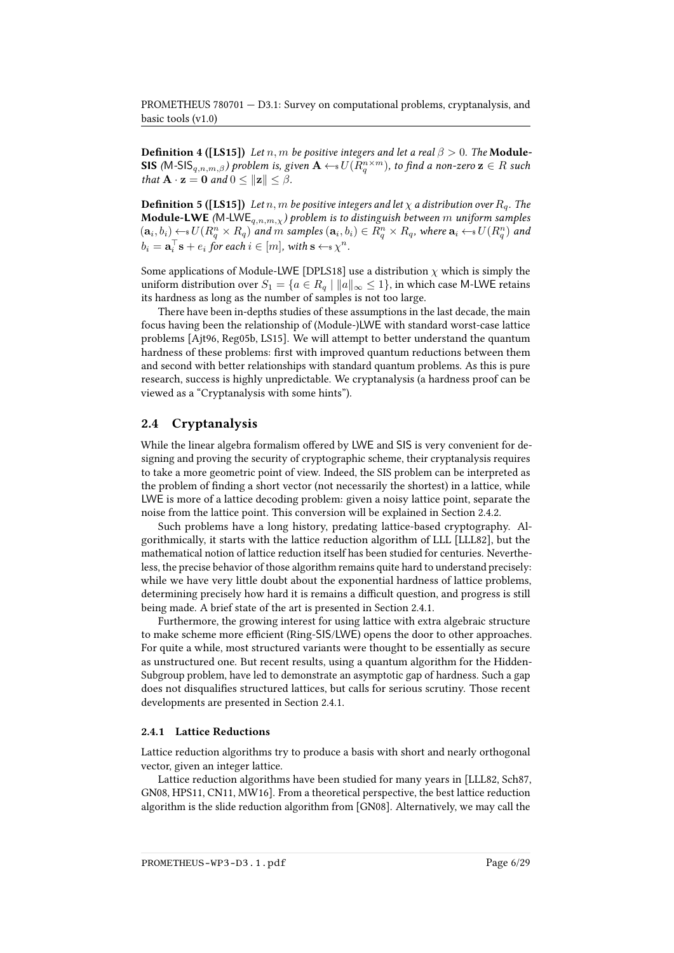**Definition 4 ([\[LS15\]](#page-26-1))** Let n, m be positive integers and let a real  $\beta > 0$ . The **Module-SIS** (M-SIS $_{q,n,m,\beta}$ ) problem is, given  $\mathbf{A} \leftarrow$ s $U(R_q^{n\times m})$ , to find a non-zero  $\mathbf{z}\in R$  such that  $\mathbf{A} \cdot \mathbf{z} = \mathbf{0}$  and  $0 \le ||\mathbf{z}|| \le \beta$ .

**Definition 5 ([\[LS15\]](#page-26-1))** Let  $n, m$  be positive integers and let  $\chi$  a distribution over  $R_q$ . The **Module-LWE** (M-LWE<sub>q,n,m,x</sub>) problem is to distinguish between m uniform samples  $(\mathbf{a}_i, b_i) \leftarrow \mathbf{s} \, U(R_q^n \times R_q)$  and  $m$  samples  $(\mathbf{a}_i, b_i) \in R_q^n \times R_q$ , where  $\mathbf{a}_i \leftarrow \mathbf{s} \, U(R_q^n)$  and  $b_i = \mathbf{a}_i^{\top} \mathbf{s} + e_i$  for each  $i \in [m]$ , with  $\mathbf{s} \leftarrow \mathbf{s} \chi^n$ .

Some applications of Module-LWE [\[DPLS18\]](#page-22-0) use a distribution  $\chi$  which is simply the uniform distribution over  $S_1 = \{a \in R_q \mid ||a||_{\infty} \leq 1\}$ , in which case M-LWE retains its hardness as long as the number of samples is not too large.

There have been in-depths studies of these assumptions in the last decade, the main focus having been the relationship of (Module-)LWE with standard worst-case lattice problems [\[Ajt96,](#page-19-0) [Reg05b,](#page-27-0) [LS15\]](#page-26-1). We will attempt to better understand the quantum hardness of these problems: first with improved quantum reductions between them and second with better relationships with standard quantum problems. As this is pure research, success is highly unpredictable. We cryptanalysis (a hardness proof can be viewed as a "Cryptanalysis with some hints").

### 2.4 Cryptanalysis

While the linear algebra formalism offered by LWE and SIS is very convenient for designing and proving the security of cryptographic scheme, their cryptanalysis requires to take a more geometric point of view. Indeed, the SIS problem can be interpreted as the problem of finding a short vector (not necessarily the shortest) in a lattice, while LWE is more of a lattice decoding problem: given a noisy lattice point, separate the noise from the lattice point. This conversion will be explained in Section [2.4.2.](#page-6-0)

Such problems have a long history, predating lattice-based cryptography. Algorithmically, it starts with the lattice reduction algorithm of LLL [\[LLL82\]](#page-25-1), but the mathematical notion of lattice reduction itself has been studied for centuries. Nevertheless, the precise behavior of those algorithm remains quite hard to understand precisely: while we have very little doubt about the exponential hardness of lattice problems, determining precisely how hard it is remains a difficult question, and progress is still being made. A brief state of the art is presented in Section [2.4.1.](#page-5-0)

Furthermore, the growing interest for using lattice with extra algebraic structure to make scheme more efficient (Ring-SIS/LWE) opens the door to other approaches. For quite a while, most structured variants were thought to be essentially as secure as unstructured one. But recent results, using a quantum algorithm for the Hidden-Subgroup problem, have led to demonstrate an asymptotic gap of hardness. Such a gap does not disqualifies structured lattices, but calls for serious scrutiny. Those recent developments are presented in Section [2.4.1.](#page-5-0)

### <span id="page-5-0"></span>2.4.1 Lattice Reductions

Lattice reduction algorithms try to produce a basis with short and nearly orthogonal vector, given an integer lattice.

Lattice reduction algorithms have been studied for many years in [\[LLL82,](#page-25-1) [Sch87,](#page-28-1) [GN08,](#page-23-0) [HPS11,](#page-24-1) [CN11,](#page-22-1) [MW16\]](#page-26-2). From a theoretical perspective, the best lattice reduction algorithm is the slide reduction algorithm from [\[GN08\]](#page-23-0). Alternatively, we may call the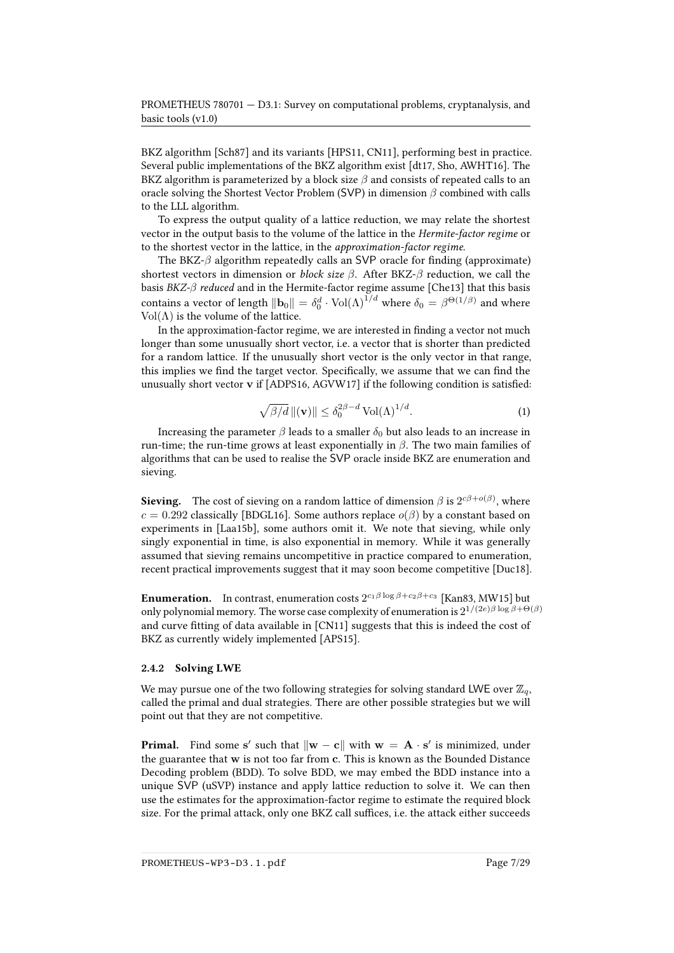BKZ algorithm [\[Sch87\]](#page-28-1) and its variants [\[HPS11,](#page-24-1) [CN11\]](#page-22-1), performing best in practice. Several public implementations of the BKZ algorithm exist [\[dt17,](#page-22-2) [Sho,](#page-28-2) [AWHT16\]](#page-20-2). The BKZ algorithm is parameterized by a block size  $\beta$  and consists of repeated calls to an oracle solving the Shortest Vector Problem (SVP) in dimension  $\beta$  combined with calls to the LLL algorithm.

To express the output quality of a lattice reduction, we may relate the shortest vector in the output basis to the volume of the lattice in the Hermite-factor regime or to the shortest vector in the lattice, in the approximation-factor regime.

The BKZ- $\beta$  algorithm repeatedly calls an SVP oracle for finding (approximate) shortest vectors in dimension or *block size*  $\beta$ . After BKZ- $\beta$  reduction, we call the basis  $BKZ-\beta$  reduced and in the Hermite-factor regime assume [\[Che13\]](#page-22-3) that this basis contains a vector of length  $\|\mathbf{b}_0\|=\delta_0^d\cdot\mathrm{Vol}(\Lambda)^{1/d}$  where  $\delta_0=\beta^{\Theta(1/\beta)}$  and where Vol $(\Lambda)$  is the volume of the lattice.

In the approximation-factor regime, we are interested in finding a vector not much longer than some unusually short vector, i.e. a vector that is shorter than predicted for a random lattice. If the unusually short vector is the only vector in that range, this implies we find the target vector. Specifically, we assume that we can find the unusually short vector v if [\[ADPS16,](#page-19-1) [AGVW17\]](#page-19-2) if the following condition is satisfied:

$$
\sqrt{\beta/d} \, \|(v)\| \le \delta_0^{2\beta - d} \operatorname{Vol}(\Lambda)^{1/d}.\tag{1}
$$

Increasing the parameter  $\beta$  leads to a smaller  $\delta_0$  but also leads to an increase in run-time; the run-time grows at least exponentially in  $\beta$ . The two main families of algorithms that can be used to realise the SVP oracle inside BKZ are enumeration and sieving.

**Sieving.** The cost of sieving on a random lattice of dimension  $\beta$  is  $2^{c\beta + o(\beta)}$ , where  $c = 0.292$  classically [\[BDGL16\]](#page-20-3). Some authors replace  $o(\beta)$  by a constant based on experiments in [\[Laa15b\]](#page-25-2), some authors omit it. We note that sieving, while only singly exponential in time, is also exponential in memory. While it was generally assumed that sieving remains uncompetitive in practice compared to enumeration, recent practical improvements suggest that it may soon become competitive [\[Duc18\]](#page-22-4).

**Enumeration.** In contrast, enumeration costs  $2^{c_1\beta \log \beta + c_2\beta + c_3}$  [\[Kan83,](#page-24-2) [MW15\]](#page-26-3) but only polynomial memory. The worse case complexity of enumeration is  $2^{1/(2e)\beta\log\beta+\Theta(\beta)}$ and curve fitting of data available in  $[CN11]$  suggests that this is indeed the cost of BKZ as currently widely implemented [\[APS15\]](#page-20-4).

### <span id="page-6-0"></span>2.4.2 Solving LWE

We may pursue one of the two following strategies for solving standard LWE over  $\mathbb{Z}_q$ , called the primal and dual strategies. There are other possible strategies but we will point out that they are not competitive.

**Primal.** Find some s' such that  $\|\mathbf{w} - \mathbf{c}\|$  with  $\mathbf{w} = \mathbf{A} \cdot \mathbf{s}'$  is minimized, under the guarantee that w is not too far from c. This is known as the Bounded Distance Decoding problem (BDD). To solve BDD, we may embed the BDD instance into a unique SVP (uSVP) instance and apply lattice reduction to solve it. We can then use the estimates for the approximation-factor regime to estimate the required block size. For the primal attack, only one BKZ call suffices, i.e. the attack either succeeds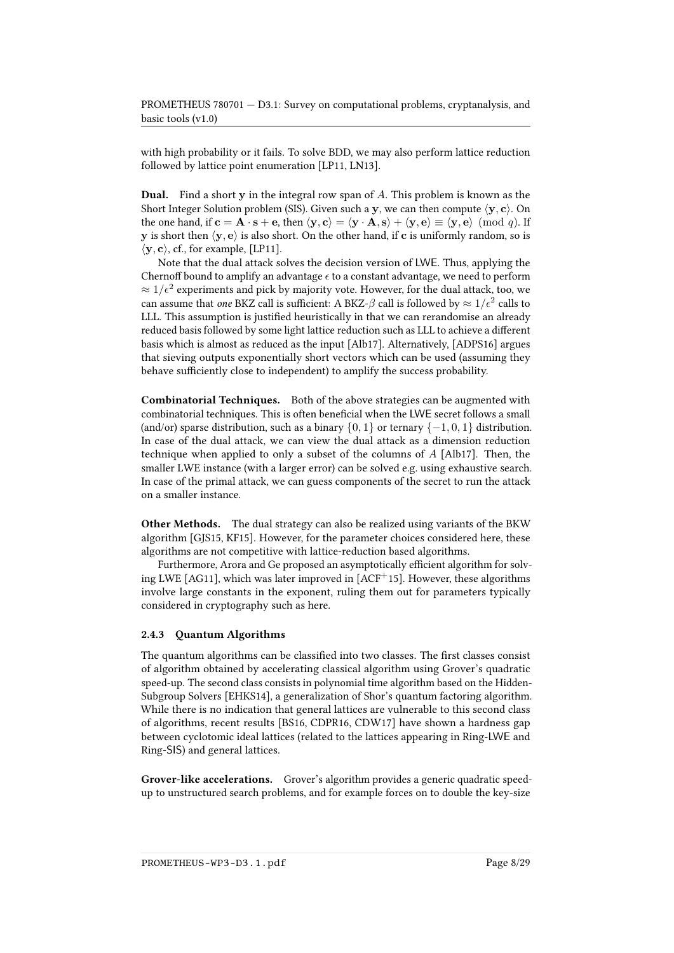with high probability or it fails. To solve BDD, we may also perform lattice reduction followed by lattice point enumeration [\[LP11,](#page-25-3) [LN13\]](#page-25-4).

Dual. Find a short y in the integral row span of A. This problem is known as the Short Integer Solution problem (SIS). Given such a y, we can then compute  $\langle y, c \rangle$ . On the one hand, if  $c = A \cdot s + e$ , then  $\langle y, c \rangle = \langle y \cdot A, s \rangle + \langle y, e \rangle \equiv \langle y, e \rangle \pmod{q}$ . If y is short then  $\langle y, e \rangle$  is also short. On the other hand, if c is uniformly random, so is  $\langle y, c \rangle$ , cf., for example, [\[LP11\]](#page-25-3).

Note that the dual attack solves the decision version of LWE. Thus, applying the Chernoff bound to amplify an advantage  $\epsilon$  to a constant advantage, we need to perform  $\approx 1/\epsilon^2$  experiments and pick by majority vote. However, for the dual attack, too, we can assume that one BKZ call is sufficient: A BKZ- $\beta$  call is followed by  $\approx 1/\epsilon^2$  calls to LLL. This assumption is justified heuristically in that we can rerandomise an already reduced basis followed by some light lattice reduction such as LLL to achieve a different basis which is almost as reduced as the input [\[Alb17\]](#page-19-3). Alternatively, [\[ADPS16\]](#page-19-1) argues that sieving outputs exponentially short vectors which can be used (assuming they behave sufficiently close to independent) to amplify the success probability.

Combinatorial Techniques. Both of the above strategies can be augmented with combinatorial techniques. This is often beneficial when the LWE secret follows a small (and/or) sparse distribution, such as a binary  $\{0, 1\}$  or ternary  $\{-1, 0, 1\}$  distribution. In case of the dual attack, we can view the dual attack as a dimension reduction technique when applied to only a subset of the columns of  $A$  [\[Alb17\]](#page-19-3). Then, the smaller LWE instance (with a larger error) can be solved e.g. using exhaustive search. In case of the primal attack, we can guess components of the secret to run the attack on a smaller instance.

Other Methods. The dual strategy can also be realized using variants of the BKW algorithm [\[GJS15,](#page-23-1) [KF15\]](#page-24-3). However, for the parameter choices considered here, these algorithms are not competitive with lattice-reduction based algorithms.

Furthermore, Arora and Ge proposed an asymptotically efficient algorithm for solving LWE [\[AG11\]](#page-19-4), which was later improved in [\[ACF](#page-19-5)<sup>+</sup>15]. However, these algorithms involve large constants in the exponent, ruling them out for parameters typically considered in cryptography such as here.

### 2.4.3 Quantum Algorithms

The quantum algorithms can be classified into two classes. The first classes consist of algorithm obtained by accelerating classical algorithm using Grover's quadratic speed-up. The second class consists in polynomial time algorithm based on the Hidden-Subgroup Solvers [\[EHKS14\]](#page-23-2), a generalization of Shor's quantum factoring algorithm. While there is no indication that general lattices are vulnerable to this second class of algorithms, recent results [\[BS16,](#page-21-1) [CDPR16,](#page-21-2) [CDW17\]](#page-21-3) have shown a hardness gap between cyclotomic ideal lattices (related to the lattices appearing in Ring-LWE and Ring-SIS) and general lattices.

Grover-like accelerations. Grover's algorithm provides a generic quadratic speedup to unstructured search problems, and for example forces on to double the key-size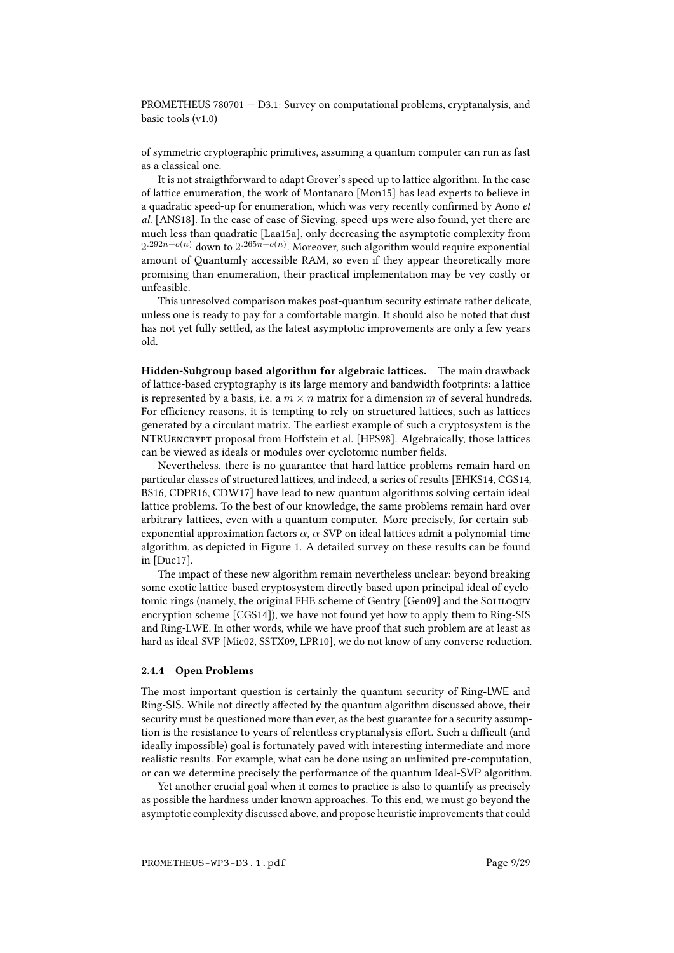of symmetric cryptographic primitives, assuming a quantum computer can run as fast as a classical one.

It is not straigthforward to adapt Grover's speed-up to lattice algorithm. In the case of lattice enumeration, the work of Montanaro [\[Mon15\]](#page-26-4) has lead experts to believe in a quadratic speed-up for enumeration, which was very recently confirmed by Aono et al. [\[ANS18\]](#page-20-5). In the case of case of Sieving, speed-ups were also found, yet there are much less than quadratic [\[Laa15a\]](#page-25-5), only decreasing the asymptotic complexity from  $2^{.292n+o(n)}$  down to  $2^{.265n+o(n)}$ . Moreover, such algorithm would require exponential amount of Quantumly accessible RAM, so even if they appear theoretically more promising than enumeration, their practical implementation may be vey costly or unfeasible.

This unresolved comparison makes post-quantum security estimate rather delicate, unless one is ready to pay for a comfortable margin. It should also be noted that dust has not yet fully settled, as the latest asymptotic improvements are only a few years old.

Hidden-Subgroup based algorithm for algebraic lattices. The main drawback of lattice-based cryptography is its large memory and bandwidth footprints: a lattice is represented by a basis, i.e. a  $m \times n$  matrix for a dimension m of several hundreds. For efficiency reasons, it is tempting to rely on structured lattices, such as lattices generated by a circulant matrix. The earliest example of such a cryptosystem is the NTRUENCRYPT proposal from Hoffstein et al. [\[HPS98\]](#page-24-4). Algebraically, those lattices can be viewed as ideals or modules over cyclotomic number fields.

Nevertheless, there is no guarantee that hard lattice problems remain hard on particular classes of structured lattices, and indeed, a series of results [\[EHKS14,](#page-23-2) [CGS14,](#page-21-4) [BS16,](#page-21-1) [CDPR16,](#page-21-2) [CDW17\]](#page-21-3) have lead to new quantum algorithms solving certain ideal lattice problems. To the best of our knowledge, the same problems remain hard over arbitrary lattices, even with a quantum computer. More precisely, for certain subexponential approximation factors  $\alpha$ ,  $\alpha$ -SVP on ideal lattices admit a polynomial-time algorithm, as depicted in Figure [1.](#page-9-0) A detailed survey on these results can be found in [\[Duc17\]](#page-22-5).

The impact of these new algorithm remain nevertheless unclear: beyond breaking some exotic lattice-based cryptosystem directly based upon principal ideal of cyclo-tomic rings (namely, the original FHE scheme of Gentry [\[Gen09\]](#page-23-3) and the SoLILOQUY encryption scheme [\[CGS14\]](#page-21-4)), we have not found yet how to apply them to Ring-SIS and Ring-LWE. In other words, while we have proof that such problem are at least as hard as ideal-SVP [\[Mic02,](#page-26-0) [SSTX09,](#page-28-0) [LPR10\]](#page-25-0), we do not know of any converse reduction.

### 2.4.4 Open Problems

The most important question is certainly the quantum security of Ring-LWE and Ring-SIS. While not directly affected by the quantum algorithm discussed above, their security must be questioned more than ever, as the best guarantee for a security assumption is the resistance to years of relentless cryptanalysis effort. Such a difficult (and ideally impossible) goal is fortunately paved with interesting intermediate and more realistic results. For example, what can be done using an unlimited pre-computation, or can we determine precisely the performance of the quantum Ideal-SVP algorithm.

Yet another crucial goal when it comes to practice is also to quantify as precisely as possible the hardness under known approaches. To this end, we must go beyond the asymptotic complexity discussed above, and propose heuristic improvements that could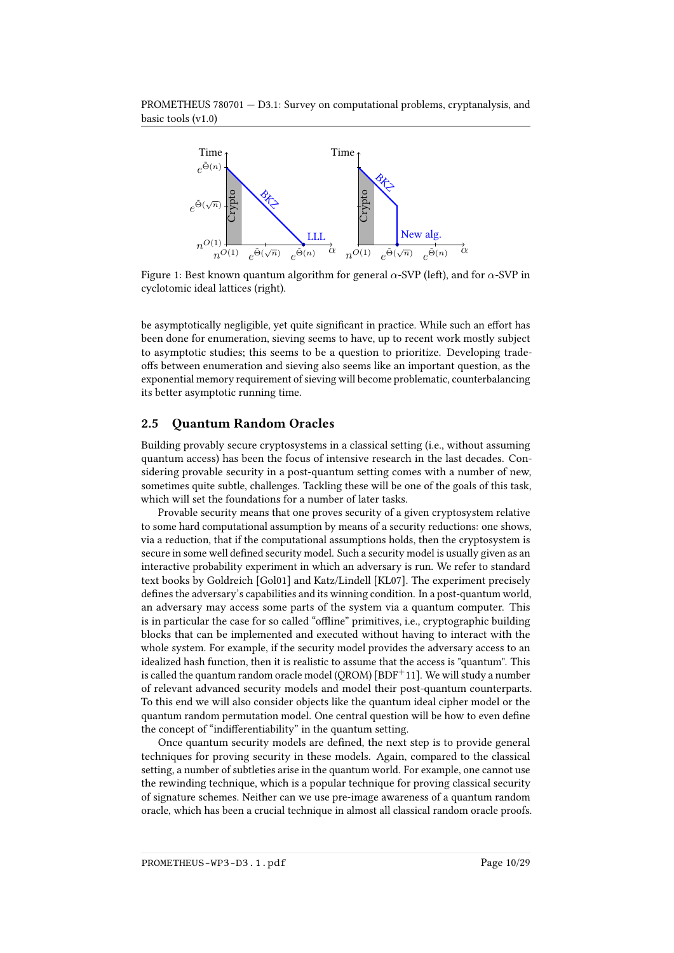PROMETHEUS 780701 — D3.1: Survey on computational problems, cryptanalysis, and basic tools (v1.0)



<span id="page-9-0"></span>Figure 1: Best known quantum algorithm for general  $\alpha$ -SVP (left), and for  $\alpha$ -SVP in cyclotomic ideal lattices (right).

be asymptotically negligible, yet quite significant in practice. While such an effort has been done for enumeration, sieving seems to have, up to recent work mostly subject to asymptotic studies; this seems to be a question to prioritize. Developing tradeoffs between enumeration and sieving also seems like an important question, as the exponential memory requirement of sieving will become problematic, counterbalancing its better asymptotic running time.

### 2.5 Quantum Random Oracles

Building provably secure cryptosystems in a classical setting (i.e., without assuming quantum access) has been the focus of intensive research in the last decades. Considering provable security in a post-quantum setting comes with a number of new, sometimes quite subtle, challenges. Tackling these will be one of the goals of this task, which will set the foundations for a number of later tasks.

Provable security means that one proves security of a given cryptosystem relative to some hard computational assumption by means of a security reductions: one shows, via a reduction, that if the computational assumptions holds, then the cryptosystem is secure in some well defined security model. Such a security model is usually given as an interactive probability experiment in which an adversary is run. We refer to standard text books by Goldreich [\[Gol01\]](#page-23-4) and Katz/Lindell [\[KL07\]](#page-25-6). The experiment precisely defines the adversary's capabilities and its winning condition. In a post-quantum world, an adversary may access some parts of the system via a quantum computer. This is in particular the case for so called "offline" primitives, i.e., cryptographic building blocks that can be implemented and executed without having to interact with the whole system. For example, if the security model provides the adversary access to an idealized hash function, then it is realistic to assume that the access is "quantum". This is called the quantum random oracle model (QROM) [\[BDF](#page-20-6)<sup>+</sup>11]. We will study a number of relevant advanced security models and model their post-quantum counterparts. To this end we will also consider objects like the quantum ideal cipher model or the quantum random permutation model. One central question will be how to even define the concept of "indifferentiability" in the quantum setting.

Once quantum security models are defined, the next step is to provide general techniques for proving security in these models. Again, compared to the classical setting, a number of subtleties arise in the quantum world. For example, one cannot use the rewinding technique, which is a popular technique for proving classical security of signature schemes. Neither can we use pre-image awareness of a quantum random oracle, which has been a crucial technique in almost all classical random oracle proofs.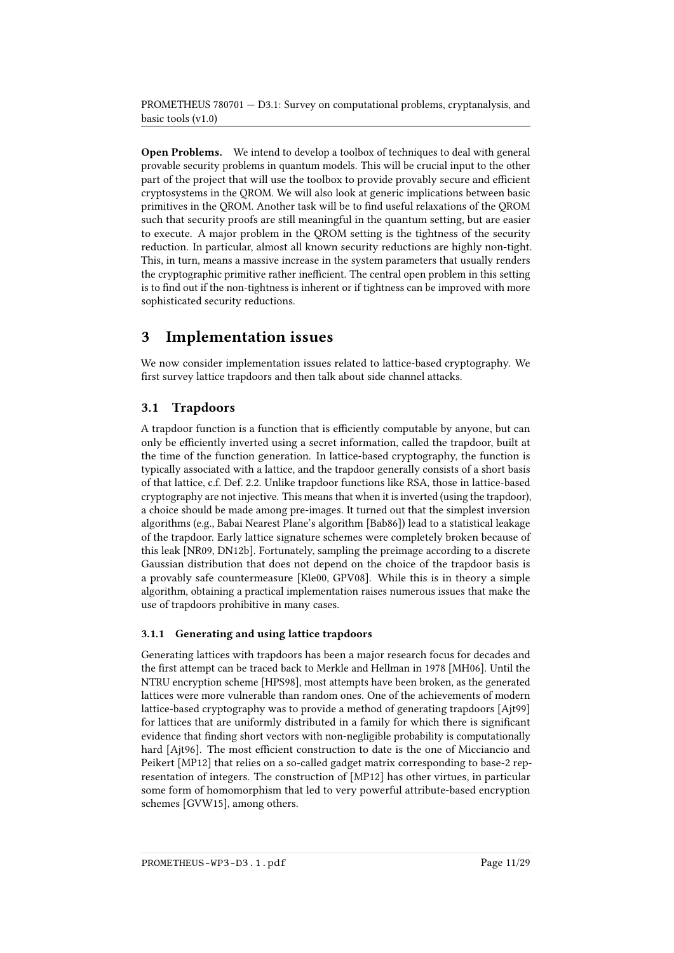Open Problems. We intend to develop a toolbox of techniques to deal with general provable security problems in quantum models. This will be crucial input to the other part of the project that will use the toolbox to provide provably secure and efficient cryptosystems in the QROM. We will also look at generic implications between basic primitives in the QROM. Another task will be to find useful relaxations of the QROM such that security proofs are still meaningful in the quantum setting, but are easier to execute. A major problem in the QROM setting is the tightness of the security reduction. In particular, almost all known security reductions are highly non-tight. This, in turn, means a massive increase in the system parameters that usually renders the cryptographic primitive rather inefficient. The central open problem in this setting is to find out if the non-tightness is inherent or if tightness can be improved with more sophisticated security reductions.

# <span id="page-10-0"></span>3 Implementation issues

We now consider implementation issues related to lattice-based cryptography. We first survey lattice trapdoors and then talk about side channel attacks.

## 3.1 Trapdoors

A trapdoor function is a function that is efficiently computable by anyone, but can only be efficiently inverted using a secret information, called the trapdoor, built at the time of the function generation. In lattice-based cryptography, the function is typically associated with a lattice, and the trapdoor generally consists of a short basis of that lattice, c.f. Def. [2.2.](#page-4-0) Unlike trapdoor functions like RSA, those in lattice-based cryptography are not injective. This means that when it is inverted (using the trapdoor), a choice should be made among pre-images. It turned out that the simplest inversion algorithms (e.g., Babai Nearest Plane's algorithm [\[Bab86\]](#page-20-7)) lead to a statistical leakage of the trapdoor. Early lattice signature schemes were completely broken because of this leak [\[NR09,](#page-27-2) [DN12b\]](#page-22-6). Fortunately, sampling the preimage according to a discrete Gaussian distribution that does not depend on the choice of the trapdoor basis is a provably safe countermeasure [\[Kle00,](#page-25-7) [GPV08\]](#page-24-0). While this is in theory a simple algorithm, obtaining a practical implementation raises numerous issues that make the use of trapdoors prohibitive in many cases.

## 3.1.1 Generating and using lattice trapdoors

Generating lattices with trapdoors has been a major research focus for decades and the first attempt can be traced back to Merkle and Hellman in 1978 [\[MH06\]](#page-26-5). Until the NTRU encryption scheme [\[HPS98\]](#page-24-4), most attempts have been broken, as the generated lattices were more vulnerable than random ones. One of the achievements of modern lattice-based cryptography was to provide a method of generating trapdoors [\[Ajt99\]](#page-19-6) for lattices that are uniformly distributed in a family for which there is signicant evidence that finding short vectors with non-negligible probability is computationally hard [\[Ajt96\]](#page-19-0). The most efficient construction to date is the one of Micciancio and Peikert [\[MP12\]](#page-26-6) that relies on a so-called gadget matrix corresponding to base-2 representation of integers. The construction of [\[MP12\]](#page-26-6) has other virtues, in particular some form of homomorphism that led to very powerful attribute-based encryption schemes [\[GVW15\]](#page-24-5), among others.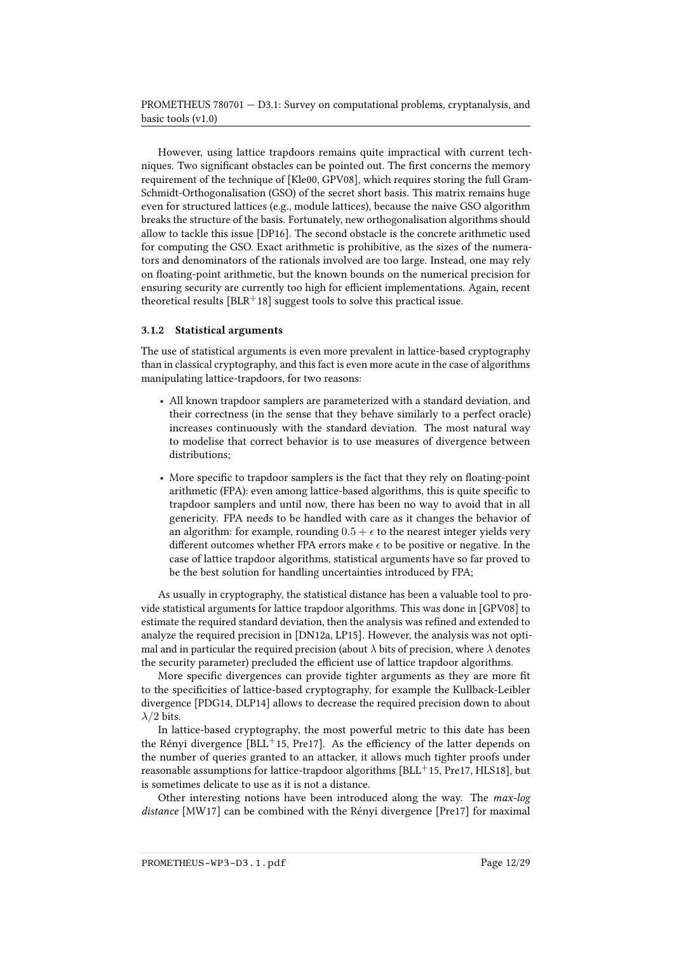However, using lattice trapdoors remains quite impractical with current techniques. Two significant obstacles can be pointed out. The first concerns the memory requirement of the technique of [\[Kle00,](#page-25-7) [GPV08\]](#page-24-0), which requires storing the full Gram-Schmidt-Orthogonalisation (GSO) of the secret short basis. This matrix remains huge even for structured lattices (e.g., module lattices), because the naive GSO algorithm breaks the structure of the basis. Fortunately, new orthogonalisation algorithms should allow to tackle this issue [\[DP16\]](#page-22-7). The second obstacle is the concrete arithmetic used for computing the GSO. Exact arithmetic is prohibitive, as the sizes of the numerators and denominators of the rationals involved are too large. Instead, one may rely on floating-point arithmetic, but the known bounds on the numerical precision for ensuring security are currently too high for efficient implementations. Again, recent theoretical results  $[BLR+18]$  $[BLR+18]$  suggest tools to solve this practical issue.

### 3.1.2 Statistical arguments

The use of statistical arguments is even more prevalent in lattice-based cryptography than in classical cryptography, and this fact is even more acute in the case of algorithms manipulating lattice-trapdoors, for two reasons:

- All known trapdoor samplers are parameterized with a standard deviation, and their correctness (in the sense that they behave similarly to a perfect oracle) increases continuously with the standard deviation. The most natural way to modelise that correct behavior is to use measures of divergence between distributions:
- More specific to trapdoor samplers is the fact that they rely on floating-point arithmetic (FPA): even among lattice-based algorithms, this is quite specific to trapdoor samplers and until now, there has been no way to avoid that in all genericity. FPA needs to be handled with care as it changes the behavior of an algorithm: for example, rounding  $0.5 + \epsilon$  to the nearest integer yields very different outcomes whether FPA errors make  $\epsilon$  to be positive or negative. In the case of lattice trapdoor algorithms, statistical arguments have so far proved to be the best solution for handling uncertainties introduced by FPA;

As usually in cryptography, the statistical distance has been a valuable tool to provide statistical arguments for lattice trapdoor algorithms. This was done in [\[GPV08\]](#page-24-0) to estimate the required standard deviation, then the analysis was refined and extended to analyze the required precision in [\[DN12a,](#page-22-8) [LP15\]](#page-25-8). However, the analysis was not optimal and in particular the required precision (about  $\lambda$  bits of precision, where  $\lambda$  denotes the security parameter) precluded the efficient use of lattice trapdoor algorithms.

More specific divergences can provide tighter arguments as they are more fit to the specificities of lattice-based cryptography, for example the Kullback-Leibler divergence [\[PDG14,](#page-27-3) [DLP14\]](#page-22-9) allows to decrease the required precision down to about  $\lambda/2$  bits.

In lattice-based cryptography, the most powerful metric to this date has been the Rényi divergence [\[BLL](#page-21-6)+15, [Pre17\]](#page-27-4). As the efficiency of the latter depends on the number of queries granted to an attacker, it allows much tighter proofs under reasonable assumptions for lattice-trapdoor algorithms  $[BLL^+15, Pre17, HLS18]$  $[BLL^+15, Pre17, HLS18]$  $[BLL^+15, Pre17, HLS18]$  $[BLL^+15, Pre17, HLS18]$  $[BLL^+15, Pre17, HLS18]$ , but is sometimes delicate to use as it is not a distance.

Other interesting notions have been introduced along the way. The max-log distance [\[MW17\]](#page-26-7) can be combined with the Rényi divergence [\[Pre17\]](#page-27-4) for maximal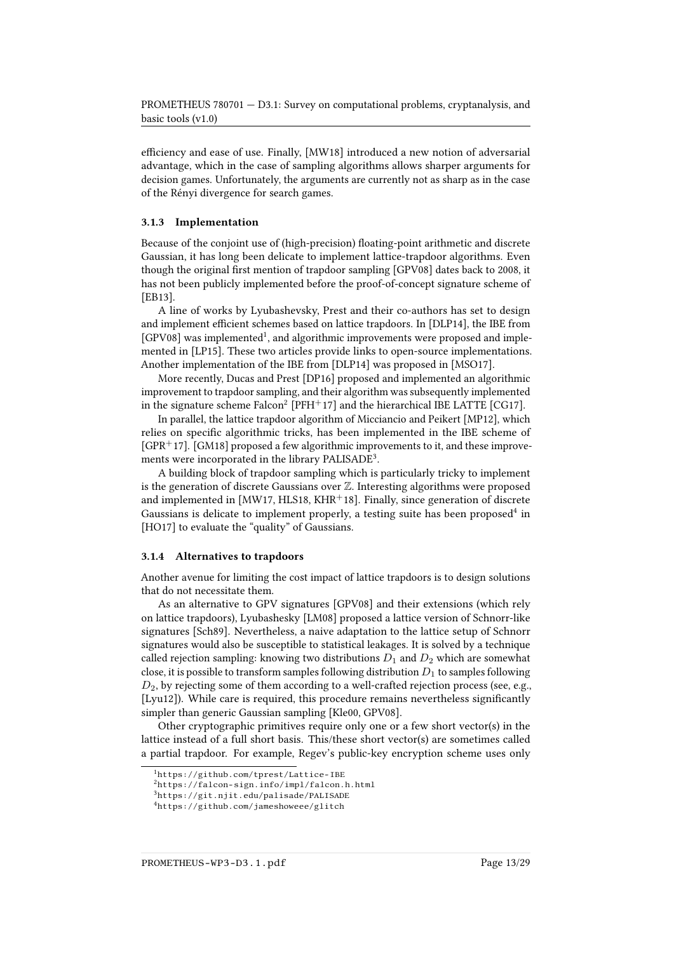efficiency and ease of use. Finally, [\[MW18\]](#page-26-8) introduced a new notion of adversarial advantage, which in the case of sampling algorithms allows sharper arguments for decision games. Unfortunately, the arguments are currently not as sharp as in the case of the Rényi divergence for search games.

### 3.1.3 Implementation

Because of the conjoint use of (high-precision) floating-point arithmetic and discrete Gaussian, it has long been delicate to implement lattice-trapdoor algorithms. Even though the original first mention of trapdoor sampling [\[GPV08\]](#page-24-0) dates back to 2008, it has not been publicly implemented before the proof-of-concept signature scheme of [\[EB13\]](#page-23-5).

A line of works by Lyubashevsky, Prest and their co-authors has set to design and implement efficient schemes based on lattice trapdoors. In [\[DLP14\]](#page-22-9), the IBE from [\[GPV08\]](#page-24-0) was implemented<sup>[1](#page-12-0)</sup>, and algorithmic improvements were proposed and implemented in [\[LP15\]](#page-25-8). These two articles provide links to open-source implementations. Another implementation of the IBE from [\[DLP14\]](#page-22-9) was proposed in [\[MSO17\]](#page-26-9).

More recently, Ducas and Prest [\[DP16\]](#page-22-7) proposed and implemented an algorithmic improvement to trapdoor sampling, and their algorithm was subsequently implemented in the signature scheme  $\text{Falcon}^2$  $\text{Falcon}^2$   $[\text{PFH}^+$ 17] and the hierarchical IBE LATTE [\[CG17\]](#page-21-7).

In parallel, the lattice trapdoor algorithm of Micciancio and Peikert [\[MP12\]](#page-26-6), which relies on specific algorithmic tricks, has been implemented in the IBE scheme of  $[GPR+17]$  $[GPR+17]$ . [\[GM18\]](#page-23-6) proposed a few algorithmic improvements to it, and these improve-ments were incorporated in the library PALISADE<sup>[3](#page-12-2)</sup>.

A building block of trapdoor sampling which is particularly tricky to implement is the generation of discrete Gaussians over  $\mathbb Z.$  Interesting algorithms were proposed and implemented in [\[MW17,](#page-26-7) [HLS18,](#page-24-6) [KHR](#page-24-8)<sup>+</sup>18]. Finally, since generation of discrete Gaussians is delicate to implement properly, a testing suite has been proposed<sup>[4](#page-12-3)</sup> in [\[HO17\]](#page-24-9) to evaluate the "quality" of Gaussians.

### 3.1.4 Alternatives to trapdoors

Another avenue for limiting the cost impact of lattice trapdoors is to design solutions that do not necessitate them.

As an alternative to GPV signatures [\[GPV08\]](#page-24-0) and their extensions (which rely on lattice trapdoors), Lyubashesky [\[LM08\]](#page-25-9) proposed a lattice version of Schnorr-like signatures [\[Sch89\]](#page-28-3). Nevertheless, a naive adaptation to the lattice setup of Schnorr signatures would also be susceptible to statistical leakages. It is solved by a technique called rejection sampling: knowing two distributions  $D_1$  and  $D_2$  which are somewhat close, it is possible to transform samples following distribution  $D_1$  to samples following  $D_2$ , by rejecting some of them according to a well-crafted rejection process (see, e.g., [\[Lyu12\]](#page-26-10)). While care is required, this procedure remains nevertheless significantly simpler than generic Gaussian sampling [\[Kle00,](#page-25-7) [GPV08\]](#page-24-0).

Other cryptographic primitives require only one or a few short vector(s) in the lattice instead of a full short basis. This/these short vector(s) are sometimes called a partial trapdoor. For example, Regev's public-key encryption scheme uses only

PROMETHEUS-WP3-D3.1.pdf Page 13/29

<span id="page-12-0"></span><sup>1</sup><https://github.com/tprest/Lattice-IBE>

<span id="page-12-1"></span><sup>2</sup><https://falcon-sign.info/impl/falcon.h.html>

<span id="page-12-2"></span><sup>3</sup><https://git.njit.edu/palisade/PALISADE>

<span id="page-12-3"></span><sup>4</sup><https://github.com/jameshoweee/glitch>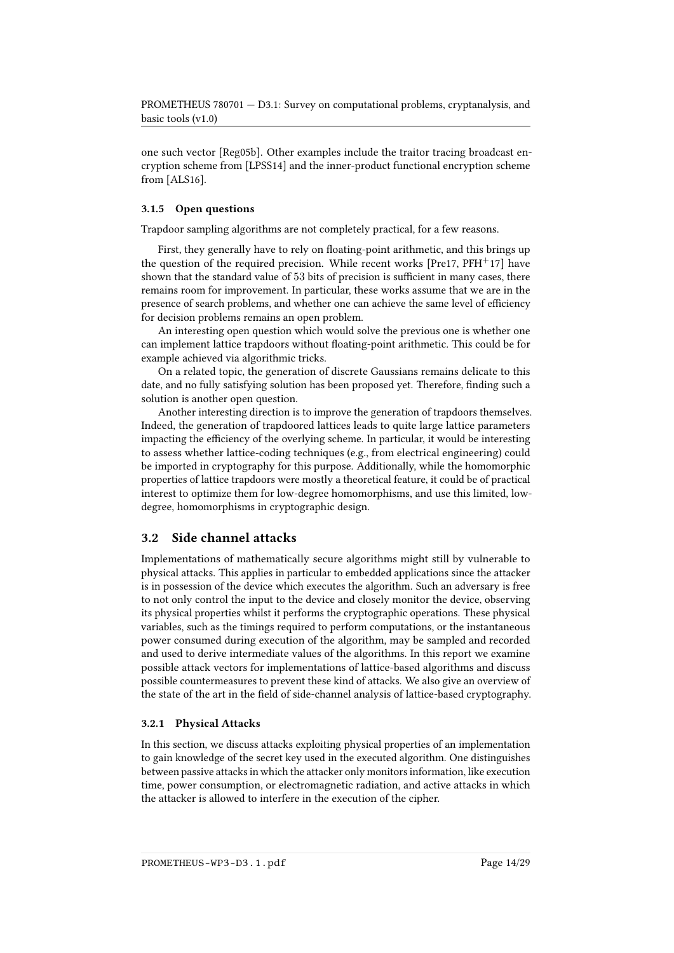one such vector [\[Reg05b\]](#page-27-0). Other examples include the traitor tracing broadcast encryption scheme from [\[LPSS14\]](#page-25-10) and the inner-product functional encryption scheme from [\[ALS16\]](#page-19-7).

### 3.1.5 Open questions

Trapdoor sampling algorithms are not completely practical, for a few reasons.

First, they generally have to rely on floating-point arithmetic, and this brings up the question of the required precision. While recent works  $[Pre17, PFH<sup>+</sup>17]$  $[Pre17, PFH<sup>+</sup>17]$  $[Pre17, PFH<sup>+</sup>17]$  $[Pre17, PFH<sup>+</sup>17]$  have shown that the standard value of  $53$  bits of precision is sufficient in many cases, there remains room for improvement. In particular, these works assume that we are in the presence of search problems, and whether one can achieve the same level of efficiency for decision problems remains an open problem.

An interesting open question which would solve the previous one is whether one can implement lattice trapdoors without floating-point arithmetic. This could be for example achieved via algorithmic tricks.

On a related topic, the generation of discrete Gaussians remains delicate to this date, and no fully satisfying solution has been proposed yet. Therefore, finding such a solution is another open question.

Another interesting direction is to improve the generation of trapdoors themselves. Indeed, the generation of trapdoored lattices leads to quite large lattice parameters impacting the efficiency of the overlying scheme. In particular, it would be interesting to assess whether lattice-coding techniques (e.g., from electrical engineering) could be imported in cryptography for this purpose. Additionally, while the homomorphic properties of lattice trapdoors were mostly a theoretical feature, it could be of practical interest to optimize them for low-degree homomorphisms, and use this limited, lowdegree, homomorphisms in cryptographic design.

### 3.2 Side channel attacks

Implementations of mathematically secure algorithms might still by vulnerable to physical attacks. This applies in particular to embedded applications since the attacker is in possession of the device which executes the algorithm. Such an adversary is free to not only control the input to the device and closely monitor the device, observing its physical properties whilst it performs the cryptographic operations. These physical variables, such as the timings required to perform computations, or the instantaneous power consumed during execution of the algorithm, may be sampled and recorded and used to derive intermediate values of the algorithms. In this report we examine possible attack vectors for implementations of lattice-based algorithms and discuss possible countermeasures to prevent these kind of attacks. We also give an overview of the state of the art in the field of side-channel analysis of lattice-based cryptography.

### 3.2.1 Physical Attacks

In this section, we discuss attacks exploiting physical properties of an implementation to gain knowledge of the secret key used in the executed algorithm. One distinguishes between passive attacks in which the attacker only monitors information, like execution time, power consumption, or electromagnetic radiation, and active attacks in which the attacker is allowed to interfere in the execution of the cipher.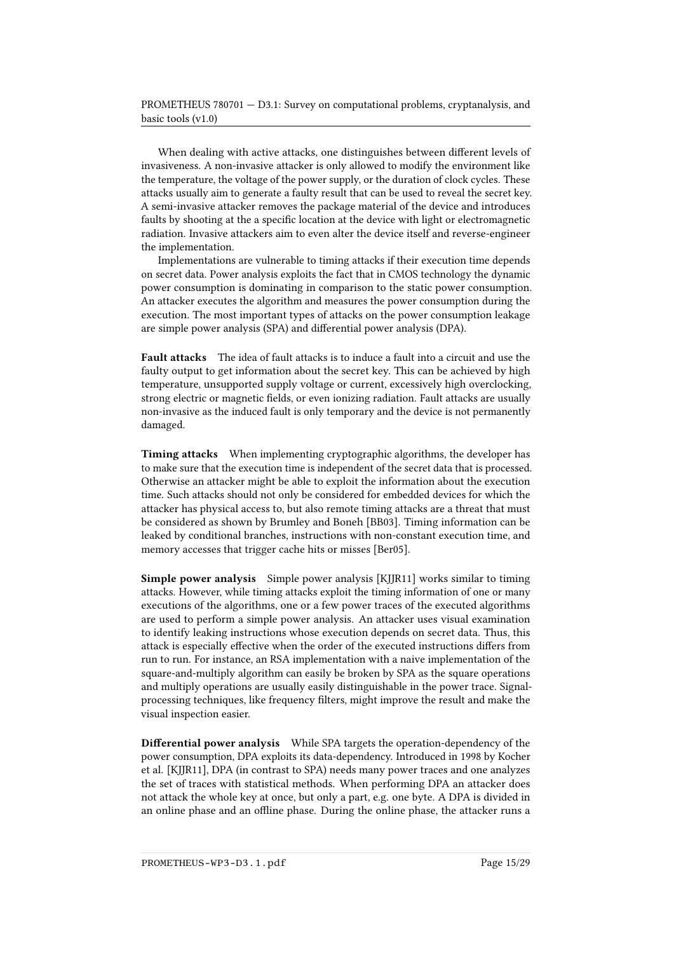When dealing with active attacks, one distinguishes between different levels of invasiveness. A non-invasive attacker is only allowed to modify the environment like the temperature, the voltage of the power supply, or the duration of clock cycles. These attacks usually aim to generate a faulty result that can be used to reveal the secret key. A semi-invasive attacker removes the package material of the device and introduces faults by shooting at the a specific location at the device with light or electromagnetic radiation. Invasive attackers aim to even alter the device itself and reverse-engineer the implementation.

Implementations are vulnerable to timing attacks if their execution time depends on secret data. Power analysis exploits the fact that in CMOS technology the dynamic power consumption is dominating in comparison to the static power consumption. An attacker executes the algorithm and measures the power consumption during the execution. The most important types of attacks on the power consumption leakage are simple power analysis (SPA) and differential power analysis (DPA).

Fault attacks The idea of fault attacks is to induce a fault into a circuit and use the faulty output to get information about the secret key. This can be achieved by high temperature, unsupported supply voltage or current, excessively high overclocking, strong electric or magnetic fields, or even ionizing radiation. Fault attacks are usually non-invasive as the induced fault is only temporary and the device is not permanently damaged.

Timing attacks When implementing cryptographic algorithms, the developer has to make sure that the execution time is independent of the secret data that is processed. Otherwise an attacker might be able to exploit the information about the execution time. Such attacks should not only be considered for embedded devices for which the attacker has physical access to, but also remote timing attacks are a threat that must be considered as shown by Brumley and Boneh [\[BB03\]](#page-20-8). Timing information can be leaked by conditional branches, instructions with non-constant execution time, and memory accesses that trigger cache hits or misses [\[Ber05\]](#page-20-9).

Simple power analysis Simple power analysis [\[KJJR11\]](#page-24-10) works similar to timing attacks. However, while timing attacks exploit the timing information of one or many executions of the algorithms, one or a few power traces of the executed algorithms are used to perform a simple power analysis. An attacker uses visual examination to identify leaking instructions whose execution depends on secret data. Thus, this attack is especially effective when the order of the executed instructions differs from run to run. For instance, an RSA implementation with a naive implementation of the square-and-multiply algorithm can easily be broken by SPA as the square operations and multiply operations are usually easily distinguishable in the power trace. Signalprocessing techniques, like frequency filters, might improve the result and make the visual inspection easier.

Differential power analysis While SPA targets the operation-dependency of the power consumption, DPA exploits its data-dependency. Introduced in 1998 by Kocher et al. [\[KJJR11\]](#page-24-10), DPA (in contrast to SPA) needs many power traces and one analyzes the set of traces with statistical methods. When performing DPA an attacker does not attack the whole key at once, but only a part, e.g. one byte. A DPA is divided in an online phase and an offline phase. During the online phase, the attacker runs a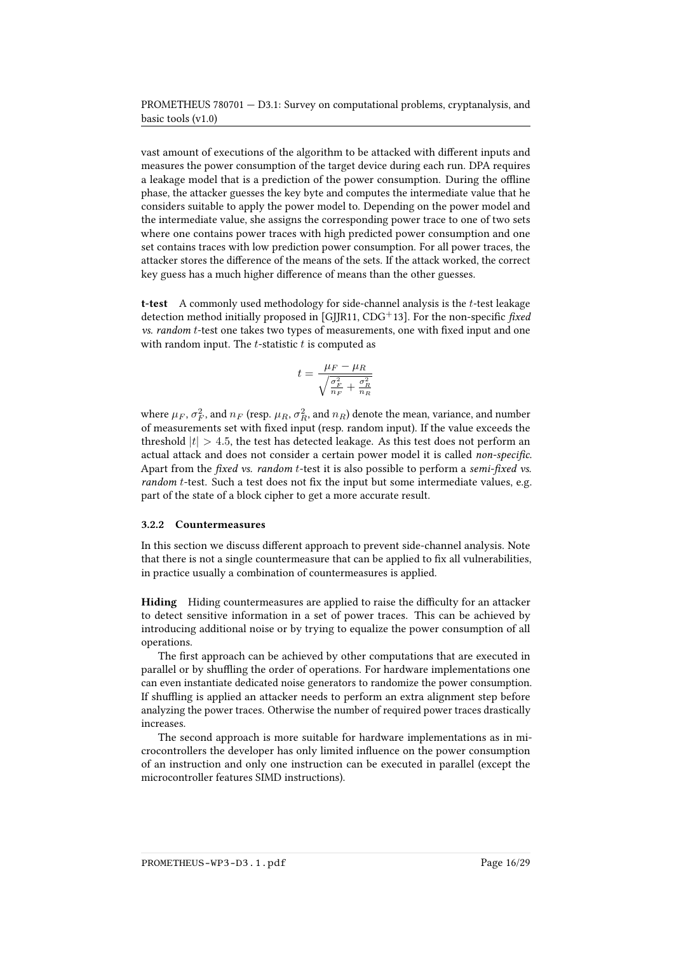vast amount of executions of the algorithm to be attacked with different inputs and measures the power consumption of the target device during each run. DPA requires a leakage model that is a prediction of the power consumption. During the offline phase, the attacker guesses the key byte and computes the intermediate value that he considers suitable to apply the power model to. Depending on the power model and the intermediate value, she assigns the corresponding power trace to one of two sets where one contains power traces with high predicted power consumption and one set contains traces with low prediction power consumption. For all power traces, the attacker stores the difference of the means of the sets. If the attack worked, the correct key guess has a much higher difference of means than the other guesses.

t-test A commonly used methodology for side-channel analysis is the  $t$ -test leakage detection method initially proposed in [\[GJJR11,](#page-23-7) [CDG](#page-21-8)<sup>+</sup>13]. For the non-specific *fixed*  $vs. random t-test$  one takes two types of measurements, one with fixed input and one with random input. The  $t$ -statistic  $t$  is computed as

$$
t = \frac{\mu_F - \mu_R}{\sqrt{\frac{\sigma_F^2}{n_F} + \frac{\sigma_R^2}{n_R}}}
$$

where  $\mu_F, \sigma_F^2$ , and  $n_F$  (resp.  $\mu_R, \sigma_R^2$ , and  $n_R$ ) denote the mean, variance, and number of measurements set with fixed input (resp. random input). If the value exceeds the threshold  $|t| > 4.5$ , the test has detected leakage. As this test does not perform an actual attack and does not consider a certain power model it is called non-specific. Apart from the fixed vs. random t-test it is also possible to perform a semi-fixed vs. random  $t$ -test. Such a test does not fix the input but some intermediate values, e.g. part of the state of a block cipher to get a more accurate result.

### 3.2.2 Countermeasures

In this section we discuss different approach to prevent side-channel analysis. Note that there is not a single countermeasure that can be applied to fix all vulnerabilities, in practice usually a combination of countermeasures is applied.

Hiding Hiding countermeasures are applied to raise the difficulty for an attacker to detect sensitive information in a set of power traces. This can be achieved by introducing additional noise or by trying to equalize the power consumption of all operations.

The first approach can be achieved by other computations that are executed in parallel or by shuffling the order of operations. For hardware implementations one can even instantiate dedicated noise generators to randomize the power consumption. If shuffling is applied an attacker needs to perform an extra alignment step before analyzing the power traces. Otherwise the number of required power traces drastically increases.

The second approach is more suitable for hardware implementations as in microcontrollers the developer has only limited influence on the power consumption of an instruction and only one instruction can be executed in parallel (except the microcontroller features SIMD instructions).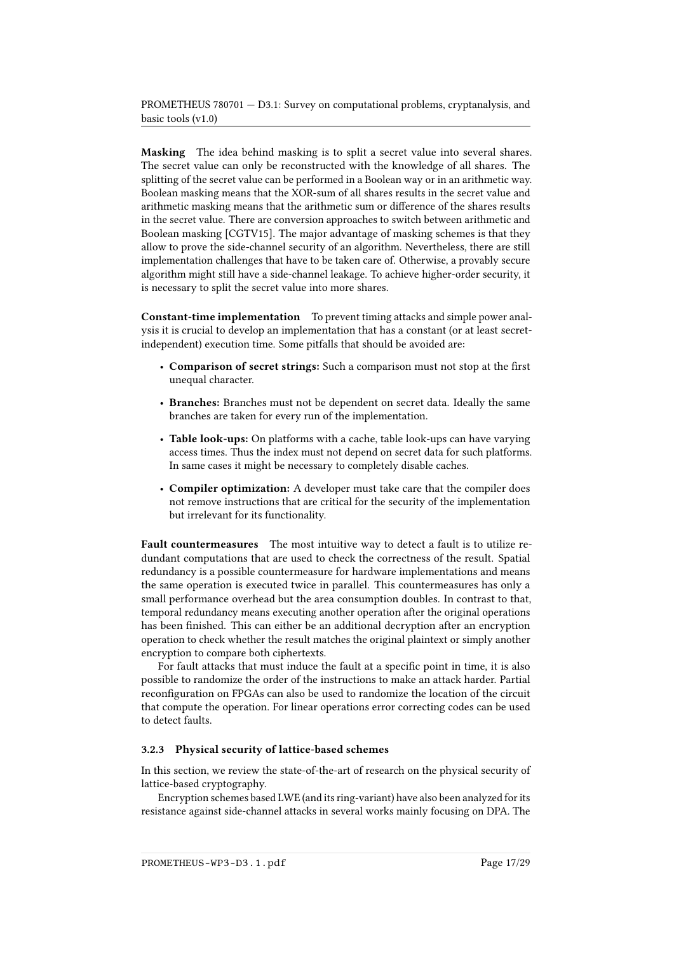Masking The idea behind masking is to split a secret value into several shares. The secret value can only be reconstructed with the knowledge of all shares. The splitting of the secret value can be performed in a Boolean way or in an arithmetic way. Boolean masking means that the XOR-sum of all shares results in the secret value and arithmetic masking means that the arithmetic sum or difference of the shares results in the secret value. There are conversion approaches to switch between arithmetic and Boolean masking [\[CGTV15\]](#page-21-9). The major advantage of masking schemes is that they allow to prove the side-channel security of an algorithm. Nevertheless, there are still implementation challenges that have to be taken care of. Otherwise, a provably secure algorithm might still have a side-channel leakage. To achieve higher-order security, it is necessary to split the secret value into more shares.

Constant-time implementation To prevent timing attacks and simple power analysis it is crucial to develop an implementation that has a constant (or at least secretindependent) execution time. Some pitfalls that should be avoided are:

- Comparison of secret strings: Such a comparison must not stop at the first unequal character.
- Branches: Branches must not be dependent on secret data. Ideally the same branches are taken for every run of the implementation.
- Table look-ups: On platforms with a cache, table look-ups can have varying access times. Thus the index must not depend on secret data for such platforms. In same cases it might be necessary to completely disable caches.
- Compiler optimization: A developer must take care that the compiler does not remove instructions that are critical for the security of the implementation but irrelevant for its functionality.

Fault countermeasures The most intuitive way to detect a fault is to utilize redundant computations that are used to check the correctness of the result. Spatial redundancy is a possible countermeasure for hardware implementations and means the same operation is executed twice in parallel. This countermeasures has only a small performance overhead but the area consumption doubles. In contrast to that, temporal redundancy means executing another operation after the original operations has been finished. This can either be an additional decryption after an encryption operation to check whether the result matches the original plaintext or simply another encryption to compare both ciphertexts.

For fault attacks that must induce the fault at a specific point in time, it is also possible to randomize the order of the instructions to make an attack harder. Partial reconfiguration on FPGAs can also be used to randomize the location of the circuit that compute the operation. For linear operations error correcting codes can be used to detect faults.

### 3.2.3 Physical security of lattice-based schemes

In this section, we review the state-of-the-art of research on the physical security of lattice-based cryptography.

Encryption schemes based LWE (and its ring-variant) have also been analyzed for its resistance against side-channel attacks in several works mainly focusing on DPA. The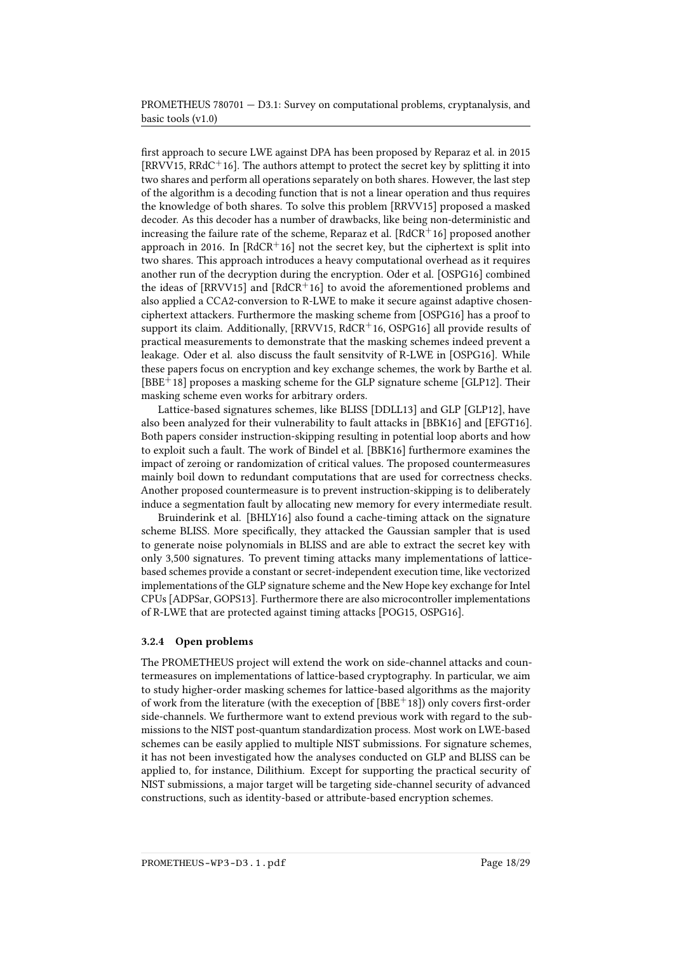first approach to secure LWE against DPA has been proposed by Reparaz et al. in 2015 [\[RRVV15,](#page-28-4) [RRdC](#page-27-6)<sup>+</sup>16]. The authors attempt to protect the secret key by splitting it into two shares and perform all operations separately on both shares. However, the last step of the algorithm is a decoding function that is not a linear operation and thus requires the knowledge of both shares. To solve this problem [\[RRVV15\]](#page-28-4) proposed a masked decoder. As this decoder has a number of drawbacks, like being non-deterministic and increasing the failure rate of the scheme, Reparaz et al.  $[RdCR^+16]$  $[RdCR^+16]$  proposed another approach in 2016. In  $[RdCR^+16]$  $[RdCR^+16]$  not the secret key, but the ciphertext is split into two shares. This approach introduces a heavy computational overhead as it requires another run of the decryption during the encryption. Oder et al. [\[OSPG16\]](#page-27-8) combined the ideas of  $[RRVV15]$  and  $[RdCR<sup>+</sup>16]$  $[RdCR<sup>+</sup>16]$  to avoid the aforementioned problems and also applied a CCA2-conversion to R-LWE to make it secure against adaptive chosenciphertext attackers. Furthermore the masking scheme from [\[OSPG16\]](#page-27-8) has a proof to support its claim. Additionally, [\[RRVV15,](#page-28-4) [RdCR](#page-27-7)<sup>+</sup>16, [OSPG16\]](#page-27-8) all provide results of practical measurements to demonstrate that the masking schemes indeed prevent a leakage. Oder et al. also discuss the fault sensitvity of R-LWE in [\[OSPG16\]](#page-27-8). While these papers focus on encryption and key exchange schemes, the work by Barthe et al.  $[BBE<sup>+</sup>18]$  $[BBE<sup>+</sup>18]$  proposes a masking scheme for the GLP signature scheme [\[GLP12\]](#page-23-8). Their masking scheme even works for arbitrary orders.

Lattice-based signatures schemes, like BLISS [\[DDLL13\]](#page-22-10) and GLP [\[GLP12\]](#page-23-8), have also been analyzed for their vulnerability to fault attacks in [\[BBK16\]](#page-20-11) and [\[EFGT16\]](#page-23-9). Both papers consider instruction-skipping resulting in potential loop aborts and how to exploit such a fault. The work of Bindel et al. [\[BBK16\]](#page-20-11) furthermore examines the impact of zeroing or randomization of critical values. The proposed countermeasures mainly boil down to redundant computations that are used for correctness checks. Another proposed countermeasure is to prevent instruction-skipping is to deliberately induce a segmentation fault by allocating new memory for every intermediate result.

Bruinderink et al. [\[BHLY16\]](#page-21-10) also found a cache-timing attack on the signature scheme BLISS. More specifically, they attacked the Gaussian sampler that is used to generate noise polynomials in BLISS and are able to extract the secret key with only 3,500 signatures. To prevent timing attacks many implementations of latticebased schemes provide a constant or secret-independent execution time, like vectorized implementations of the GLP signature scheme and the New Hope key exchange for Intel CPUs [\[ADPSar,](#page-19-8) [GOPS13\]](#page-23-10). Furthermore there are also microcontroller implementations of R-LWE that are protected against timing attacks [\[POG15,](#page-27-9) [OSPG16\]](#page-27-8).

### 3.2.4 Open problems

The PROMETHEUS project will extend the work on side-channel attacks and countermeasures on implementations of lattice-based cryptography. In particular, we aim to study higher-order masking schemes for lattice-based algorithms as the majority of work from the literature (with the exeception of  $[BBE^+18]$  $[BBE^+18]$ ) only covers first-order side-channels. We furthermore want to extend previous work with regard to the submissions to the NIST post-quantum standardization process. Most work on LWE-based schemes can be easily applied to multiple NIST submissions. For signature schemes, it has not been investigated how the analyses conducted on GLP and BLISS can be applied to, for instance, Dilithium. Except for supporting the practical security of NIST submissions, a major target will be targeting side-channel security of advanced constructions, such as identity-based or attribute-based encryption schemes.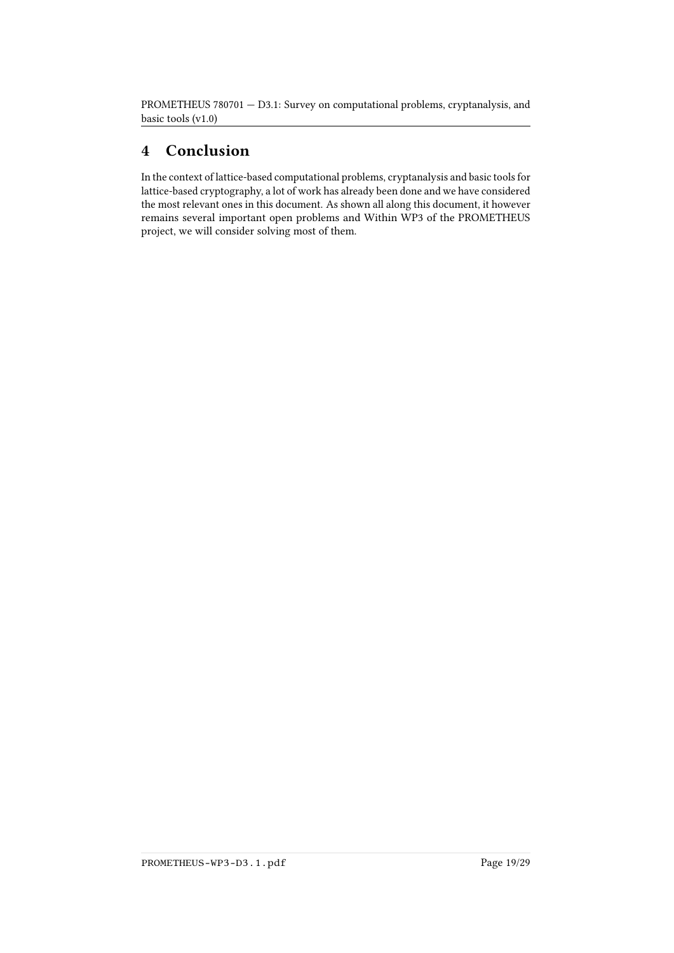# 4 Conclusion

In the context of lattice-based computational problems, cryptanalysis and basic tools for lattice-based cryptography, a lot of work has already been done and we have considered the most relevant ones in this document. As shown all along this document, it however remains several important open problems and Within WP3 of the PROMETHEUS project, we will consider solving most of them.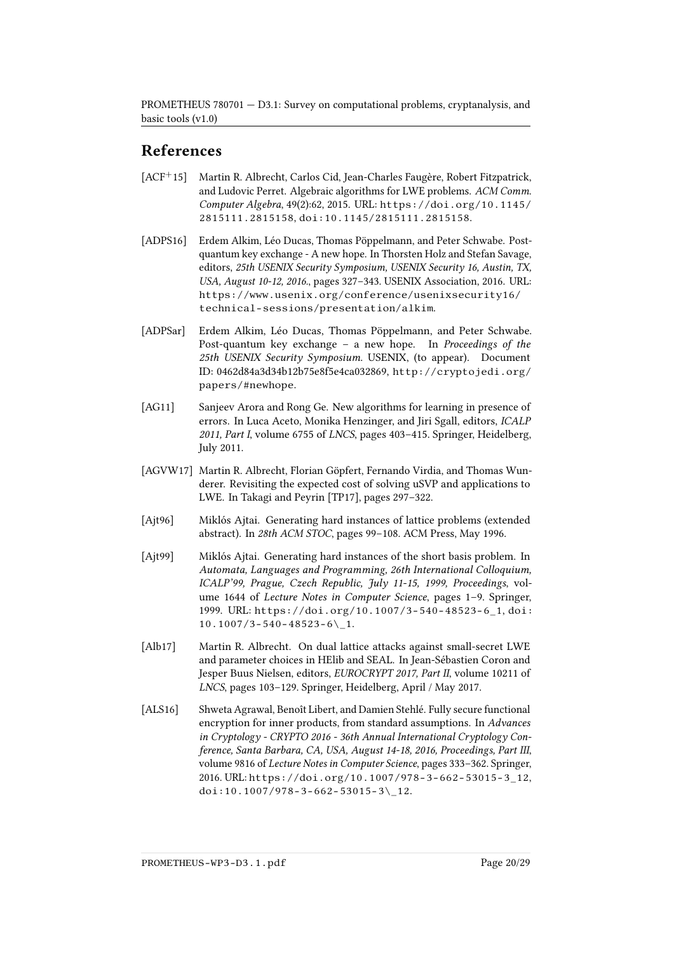# References

- <span id="page-19-5"></span>[ACF+15] Martin R. Albrecht, Carlos Cid, Jean-Charles Faugère, Robert Fitzpatrick, and Ludovic Perret. Algebraic algorithms for LWE problems. ACM Comm. Computer Algebra, 49(2):62, 2015. URL: [https://doi.org/10.1145/](https://doi.org/10.1145/2815111.2815158) [2815111.2815158](https://doi.org/10.1145/2815111.2815158), [doi:10.1145/2815111.2815158](http://dx.doi.org/10.1145/2815111.2815158).
- <span id="page-19-1"></span>[ADPS16] Erdem Alkim, Léo Ducas, Thomas Pöppelmann, and Peter Schwabe. Postquantum key exchange - A new hope. In Thorsten Holz and Stefan Savage, editors, 25th USENIX Security Symposium, USENIX Security 16, Austin, TX, USA, August 10-12, 2016., pages 327–343. USENIX Association, 2016. URL: [https://www.usenix.org/conference/usenixsecurity16/](https://www.usenix.org/conference/usenixsecurity16/technical-sessions/presentation/alkim) [technical-sessions/presentation/alkim](https://www.usenix.org/conference/usenixsecurity16/technical-sessions/presentation/alkim).
- <span id="page-19-8"></span>[ADPSar] Erdem Alkim, Léo Ducas, Thomas Pöppelmann, and Peter Schwabe. Post-quantum key exchange – a new hope. In Proceedings of the 25th USENIX Security Symposium. USENIX, (to appear). Document ID: 0462d84a3d34b12b75e8f5e4ca032869, [http://cryptojedi.org/](http://cryptojedi.org/papers/#newhope) [papers/#newhope](http://cryptojedi.org/papers/#newhope).
- <span id="page-19-4"></span>[AG11] Sanjeev Arora and Rong Ge. New algorithms for learning in presence of errors. In Luca Aceto, Monika Henzinger, and Jiri Sgall, editors, ICALP 2011, Part I, volume 6755 of LNCS, pages 403–415. Springer, Heidelberg, July 2011.
- <span id="page-19-2"></span>[AGVW17] Martin R. Albrecht, Florian Göpfert, Fernando Virdia, and Thomas Wunderer. Revisiting the expected cost of solving uSVP and applications to LWE. In Takagi and Peyrin [\[TP17\]](#page-28-5), pages 297–322.
- <span id="page-19-0"></span>[Ajt96] Miklós Ajtai. Generating hard instances of lattice problems (extended abstract). In 28th ACM STOC, pages 99–108. ACM Press, May 1996.
- <span id="page-19-6"></span>[Ajt99] Miklós Ajtai. Generating hard instances of the short basis problem. In Automata, Languages and Programming, 26th International Colloquium, ICALP'99, Prague, Czech Republic, July 11-15, 1999, Proceedings, volume 1644 of Lecture Notes in Computer Science, pages 1–9. Springer, 1999. URL: [https://doi.org/10.1007/3-540-48523-6\\_1](https://doi.org/10.1007/3-540-48523-6_1), [doi:](http://dx.doi.org/10.1007/3-540-48523-6_1)  $10.1007/3 - 540 - 48523 - 6$  1.
- <span id="page-19-3"></span>[Alb17] Martin R. Albrecht. On dual lattice attacks against small-secret LWE and parameter choices in HElib and SEAL. In Jean-Sébastien Coron and Jesper Buus Nielsen, editors, EUROCRYPT 2017, Part II, volume 10211 of LNCS, pages 103–129. Springer, Heidelberg, April / May 2017.
- <span id="page-19-7"></span>[ALS16] Shweta Agrawal, Benoît Libert, and Damien Stehlé. Fully secure functional encryption for inner products, from standard assumptions. In Advances in Cryptology - CRYPTO 2016 - 36th Annual International Cryptology Conference, Santa Barbara, CA, USA, August 14-18, 2016, Proceedings, Part III, volume 9816 of Lecture Notes in Computer Science, pages 333–362. Springer, 2016. URL: [https://doi.org/10.1007/978-3-662-53015-3\\_12](https://doi.org/10.1007/978-3-662-53015-3_12), doi:10.1007/978-3-662-53015-3\ 12.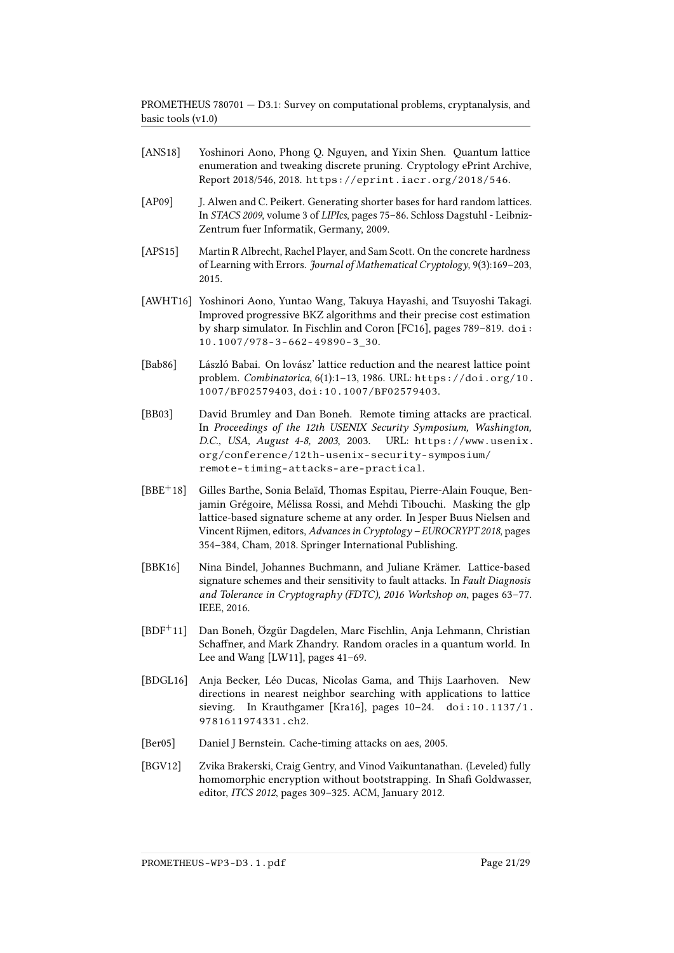- <span id="page-20-5"></span>[ANS18] Yoshinori Aono, Phong Q. Nguyen, and Yixin Shen. Quantum lattice enumeration and tweaking discrete pruning. Cryptology ePrint Archive, Report 2018/546, 2018. <https://eprint.iacr.org/2018/546>.
- <span id="page-20-0"></span>[AP09] J. Alwen and C. Peikert. Generating shorter bases for hard random lattices. In STACS 2009, volume 3 of LIPIcs, pages 75–86. Schloss Dagstuhl - Leibniz-Zentrum fuer Informatik, Germany, 2009.
- <span id="page-20-4"></span>[APS15] Martin R Albrecht, Rachel Player, and Sam Scott. On the concrete hardness of Learning with Errors. Journal of Mathematical Cryptology, 9(3):169–203, 2015.
- <span id="page-20-2"></span>[AWHT16] Yoshinori Aono, Yuntao Wang, Takuya Hayashi, and Tsuyoshi Takagi. Improved progressive BKZ algorithms and their precise cost estimation by sharp simulator. In Fischlin and Coron [\[FC16\]](#page-23-11), pages 789–819. [doi:](http://dx.doi.org/10.1007/978-3-662-49890-3_30) [10.1007/978-3-662-49890-3\\_30](http://dx.doi.org/10.1007/978-3-662-49890-3_30).
- <span id="page-20-7"></span>[Bab86] László Babai. On lovász' lattice reduction and the nearest lattice point problem. Combinatorica, 6(1):1–13, 1986. URL: [https://doi.org/10.](https://doi.org/10.1007/BF02579403) [1007/BF02579403](https://doi.org/10.1007/BF02579403), [doi:10.1007/BF02579403](http://dx.doi.org/10.1007/BF02579403).
- <span id="page-20-8"></span>[BB03] David Brumley and Dan Boneh. Remote timing attacks are practical. In Proceedings of the 12th USENIX Security Symposium, Washington, D.C., USA, August 4-8, 2003, 2003. URL: [https://www.usenix.](https://www.usenix.org/conference/12th-usenix-security-symposium/remote-timing-attacks-are-practical) [org/conference/12th-usenix-security-symposium/](https://www.usenix.org/conference/12th-usenix-security-symposium/remote-timing-attacks-are-practical) [remote-timing-attacks-are-practical](https://www.usenix.org/conference/12th-usenix-security-symposium/remote-timing-attacks-are-practical).
- <span id="page-20-10"></span>[BBE<sup>+</sup>18] Gilles Barthe, Sonia Belaïd, Thomas Espitau, Pierre-Alain Fouque, Benjamin Grégoire, Mélissa Rossi, and Mehdi Tibouchi. Masking the glp lattice-based signature scheme at any order. In Jesper Buus Nielsen and Vincent Rijmen, editors, Advances in Cryptology – EUROCRYPT 2018, pages 354–384, Cham, 2018. Springer International Publishing.
- <span id="page-20-11"></span>[BBK16] Nina Bindel, Johannes Buchmann, and Juliane Krämer. Lattice-based signature schemes and their sensitivity to fault attacks. In Fault Diagnosis and Tolerance in Cryptography (FDTC), 2016 Workshop on, pages 63–77. IEEE, 2016.
- <span id="page-20-6"></span>[BDF<sup>+</sup>11] Dan Boneh, Özgür Dagdelen, Marc Fischlin, Anja Lehmann, Christian Schaffner, and Mark Zhandry. Random oracles in a quantum world. In Lee and Wang [\[LW11\]](#page-26-11), pages 41–69.
- <span id="page-20-3"></span>[BDGL16] Anja Becker, Léo Ducas, Nicolas Gama, and Thijs Laarhoven. New directions in nearest neighbor searching with applications to lattice sieving. In Krauthgamer [\[Kra16\]](#page-25-11), pages 10–24. [doi:10.1137/1.](http://dx.doi.org/10.1137/1.9781611974331.ch2) [9781611974331.ch2](http://dx.doi.org/10.1137/1.9781611974331.ch2).
- <span id="page-20-9"></span>[Ber05] Daniel J Bernstein. Cache-timing attacks on aes, 2005.
- <span id="page-20-1"></span>[BGV12] Zvika Brakerski, Craig Gentry, and Vinod Vaikuntanathan. (Leveled) fully homomorphic encryption without bootstrapping. In Shafi Goldwasser, editor, ITCS 2012, pages 309–325. ACM, January 2012.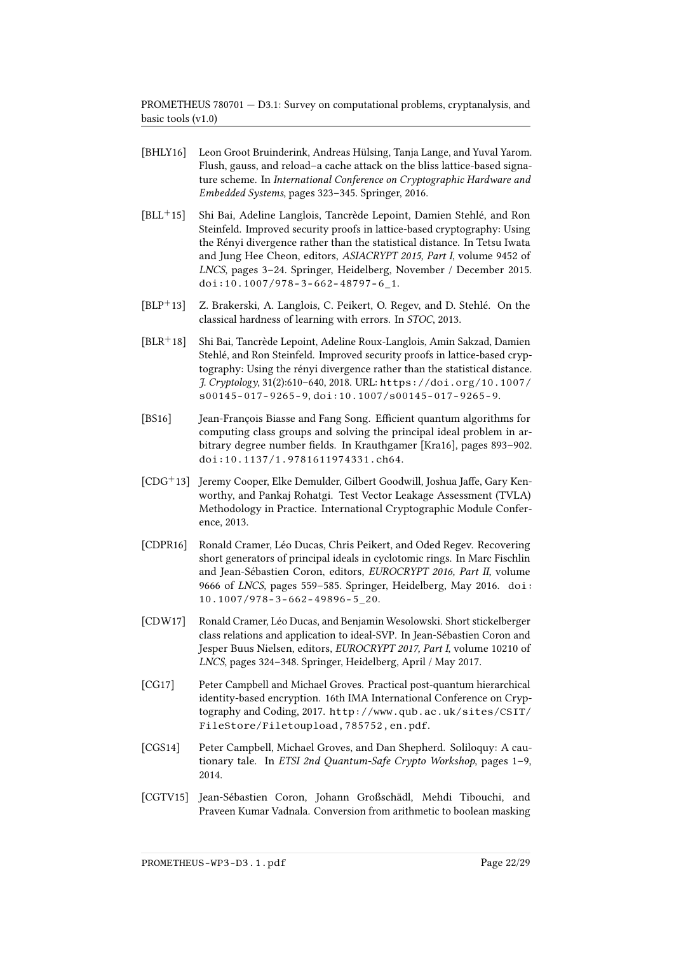- <span id="page-21-10"></span>[BHLY16] Leon Groot Bruinderink, Andreas Hülsing, Tanja Lange, and Yuval Yarom. Flush, gauss, and reload–a cache attack on the bliss lattice-based signature scheme. In International Conference on Cryptographic Hardware and Embedded Systems, pages 323–345. Springer, 2016.
- <span id="page-21-6"></span>[BLL+15] Shi Bai, Adeline Langlois, Tancrède Lepoint, Damien Stehlé, and Ron Steinfeld. Improved security proofs in lattice-based cryptography: Using the Rényi divergence rather than the statistical distance. In Tetsu Iwata and Jung Hee Cheon, editors, ASIACRYPT 2015, Part I, volume 9452 of LNCS, pages 3–24. Springer, Heidelberg, November / December 2015. [doi:10.1007/978-3-662-48797-6\\_1](http://dx.doi.org/10.1007/978-3-662-48797-6_1).
- <span id="page-21-0"></span>[BLP+13] Z. Brakerski, A. Langlois, C. Peikert, O. Regev, and D. Stehlé. On the classical hardness of learning with errors. In STOC, 2013.
- <span id="page-21-5"></span>[BLR+18] Shi Bai, Tancrède Lepoint, Adeline Roux-Langlois, Amin Sakzad, Damien Stehlé, and Ron Steinfeld. Improved security proofs in lattice-based cryptography: Using the rényi divergence rather than the statistical distance. J. Cryptology, 31(2):610–640, 2018. URL: [https://doi.org/10.1007/](https://doi.org/10.1007/s00145-017-9265-9) [s00145-017-9265-9](https://doi.org/10.1007/s00145-017-9265-9), [doi:10.1007/s00145-017-9265-9](http://dx.doi.org/10.1007/s00145-017-9265-9).
- <span id="page-21-1"></span>[BS16] Jean-François Biasse and Fang Song. Efficient quantum algorithms for computing class groups and solving the principal ideal problem in ar-bitrary degree number fields. In Krauthgamer [\[Kra16\]](#page-25-11), pages 893-902. [doi:10.1137/1.9781611974331.ch64](http://dx.doi.org/10.1137/1.9781611974331.ch64).
- <span id="page-21-8"></span>[CDG<sup>+</sup>13] Jeremy Cooper, Elke Demulder, Gilbert Goodwill, Joshua Jaffe, Gary Kenworthy, and Pankaj Rohatgi. Test Vector Leakage Assessment (TVLA) Methodology in Practice. International Cryptographic Module Conference, 2013.
- <span id="page-21-2"></span>[CDPR16] Ronald Cramer, Léo Ducas, Chris Peikert, and Oded Regev. Recovering short generators of principal ideals in cyclotomic rings. In Marc Fischlin and Jean-Sébastien Coron, editors, EUROCRYPT 2016, Part II, volume 9666 of LNCS, pages 559–585. Springer, Heidelberg, May 2016. [doi:](http://dx.doi.org/10.1007/978-3-662-49896-5_20) [10.1007/978-3-662-49896-5\\_20](http://dx.doi.org/10.1007/978-3-662-49896-5_20).
- <span id="page-21-3"></span>[CDW17] Ronald Cramer, Léo Ducas, and Benjamin Wesolowski. Short stickelberger class relations and application to ideal-SVP. In Jean-Sébastien Coron and Jesper Buus Nielsen, editors, EUROCRYPT 2017, Part I, volume 10210 of LNCS, pages 324–348. Springer, Heidelberg, April / May 2017.
- <span id="page-21-7"></span>[CG17] Peter Campbell and Michael Groves. Practical post-quantum hierarchical identity-based encryption. 16th IMA International Conference on Cryptography and Coding, 2017. [http://www.qub.ac.uk/sites/CSIT/](http://www.qub.ac.uk/sites/CSIT/FileStore/Filetoupload,785752,en.pdf) [FileStore/Filetoupload,785752,en.pdf](http://www.qub.ac.uk/sites/CSIT/FileStore/Filetoupload,785752,en.pdf).
- <span id="page-21-4"></span>[CGS14] Peter Campbell, Michael Groves, and Dan Shepherd. Soliloquy: A cautionary tale. In ETSI 2nd Quantum-Safe Crypto Workshop, pages 1–9, 2014.
- <span id="page-21-9"></span>[CGTV15] Jean-Sébastien Coron, Johann Großschädl, Mehdi Tibouchi, and Praveen Kumar Vadnala. Conversion from arithmetic to boolean masking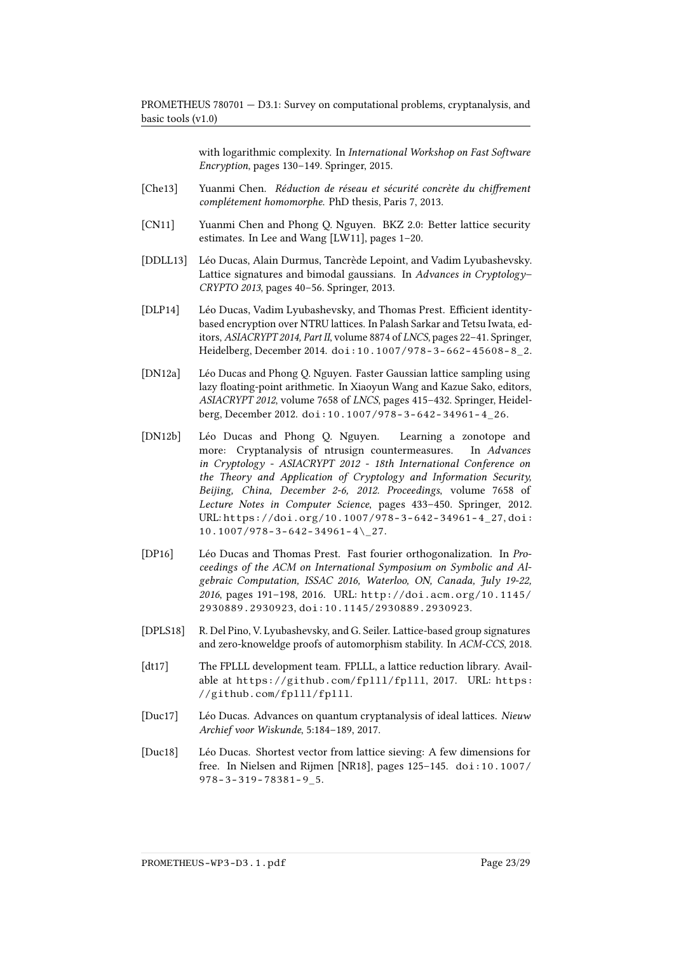with logarithmic complexity. In International Workshop on Fast Software Encryption, pages 130–149. Springer, 2015.

- <span id="page-22-3"></span>[Che13] Yuanmi Chen. Réduction de réseau et sécurité concrète du chiffrement complétement homomorphe. PhD thesis, Paris 7, 2013.
- <span id="page-22-1"></span>[CN11] Yuanmi Chen and Phong Q. Nguyen. BKZ 2.0: Better lattice security estimates. In Lee and Wang [\[LW11\]](#page-26-11), pages 1–20.
- <span id="page-22-10"></span>[DDLL13] Léo Ducas, Alain Durmus, Tancrède Lepoint, and Vadim Lyubashevsky. Lattice signatures and bimodal gaussians. In Advances in Cryptology-CRYPTO 2013, pages 40–56. Springer, 2013.
- <span id="page-22-9"></span>[DLP14] Léo Ducas, Vadim Lyubashevsky, and Thomas Prest. Efficient identitybased encryption over NTRU lattices. In Palash Sarkar and Tetsu Iwata, editors, ASIACRYPT 2014, Part II, volume 8874 of LNCS, pages 22–41. Springer, Heidelberg, December 2014. [doi:10.1007/978-3-662-45608-8\\_2](http://dx.doi.org/10.1007/978-3-662-45608-8_2).
- <span id="page-22-8"></span>[DN12a] Léo Ducas and Phong Q. Nguyen. Faster Gaussian lattice sampling using lazy floating-point arithmetic. In Xiaoyun Wang and Kazue Sako, editors, ASIACRYPT 2012, volume 7658 of LNCS, pages 415–432. Springer, Heidelberg, December 2012. [doi:10.1007/978-3-642-34961-4\\_26](http://dx.doi.org/10.1007/978-3-642-34961-4_26).
- <span id="page-22-6"></span>[DN12b] Léo Ducas and Phong Q. Nguyen. Learning a zonotope and more: Cryptanalysis of ntrusign countermeasures. In Advances in Cryptology - ASIACRYPT 2012 - 18th International Conference on the Theory and Application of Cryptology and Information Security, Beijing, China, December 2-6, 2012. Proceedings, volume 7658 of Lecture Notes in Computer Science, pages 433–450. Springer, 2012. URL: [https://doi.org/10.1007/978-3-642-34961-4\\_27](https://doi.org/10.1007/978-3-642-34961-4_27), [doi:](http://dx.doi.org/10.1007/978-3-642-34961-4_27)  $10.1007/978 - 3 - 642 - 34961 - 4 \$  27.
- <span id="page-22-7"></span>[DP16] Léo Ducas and Thomas Prest. Fast fourier orthogonalization. In Proceedings of the ACM on International Symposium on Symbolic and Algebraic Computation, ISSAC 2016, Waterloo, ON, Canada, July 19-22, 2016, pages 191–198, 2016. URL: [http://doi.acm.org/10.1145/](http://doi.acm.org/10.1145/2930889.2930923) [2930889.2930923](http://doi.acm.org/10.1145/2930889.2930923), [doi:10.1145/2930889.2930923](http://dx.doi.org/10.1145/2930889.2930923).
- <span id="page-22-0"></span>[DPLS18] R. Del Pino, V. Lyubashevsky, and G. Seiler. Lattice-based group signatures and zero-knoweldge proofs of automorphism stability. In ACM-CCS, 2018.
- <span id="page-22-2"></span>[dt17] The FPLLL development team. FPLLL, a lattice reduction library. Available at <https://github.com/fplll/fplll>, 2017. URL: [https:](https://github.com/fplll/fplll) [//github.com/fplll/fplll](https://github.com/fplll/fplll).
- <span id="page-22-5"></span>[Duc17] Léo Ducas. Advances on quantum cryptanalysis of ideal lattices. Nieuw Archief voor Wiskunde, 5:184–189, 2017.
- <span id="page-22-4"></span>[Duc18] Léo Ducas. Shortest vector from lattice sieving: A few dimensions for free. In Nielsen and Rijmen [\[NR18\]](#page-27-10), pages 125–145. [doi:10.1007/](http://dx.doi.org/10.1007/978-3-319-78381-9_5) [978-3-319-78381-9\\_5](http://dx.doi.org/10.1007/978-3-319-78381-9_5).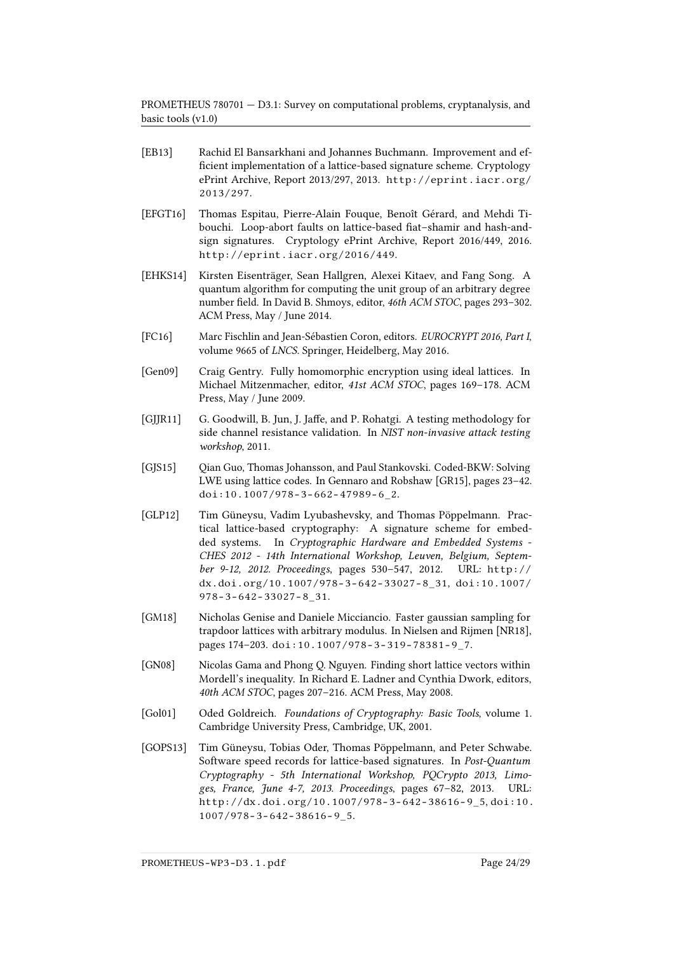- <span id="page-23-5"></span>[EB13] Rachid El Bansarkhani and Johannes Buchmann. Improvement and ef ficient implementation of a lattice-based signature scheme. Cryptology ePrint Archive, Report 2013/297, 2013. [http://eprint.iacr.org/](http://eprint.iacr.org/2013/297) [2013/297](http://eprint.iacr.org/2013/297).
- <span id="page-23-9"></span>[EFGT16] Thomas Espitau, Pierre-Alain Fouque, Benoît Gérard, and Mehdi Tibouchi. Loop-abort faults on lattice-based fiat-shamir and hash-andsign signatures. Cryptology ePrint Archive, Report 2016/449, 2016. <http://eprint.iacr.org/2016/449>.
- <span id="page-23-2"></span>[EHKS14] Kirsten Eisenträger, Sean Hallgren, Alexei Kitaev, and Fang Song. A quantum algorithm for computing the unit group of an arbitrary degree number field. In David B. Shmoys, editor, 46th ACM STOC, pages 293-302. ACM Press, May / June 2014.
- <span id="page-23-11"></span>[FC16] Marc Fischlin and Jean-Sébastien Coron, editors. EUROCRYPT 2016, Part I, volume 9665 of LNCS. Springer, Heidelberg, May 2016.
- <span id="page-23-3"></span>[Gen09] Craig Gentry. Fully homomorphic encryption using ideal lattices. In Michael Mitzenmacher, editor, 41st ACM STOC, pages 169–178. ACM Press, May / June 2009.
- <span id="page-23-7"></span>[GJJR11] G. Goodwill, B. Jun, J. Jaffe, and P. Rohatgi. A testing methodology for side channel resistance validation. In NIST non-invasive attack testing workshop, 2011.
- <span id="page-23-1"></span>[GJS15] Qian Guo, Thomas Johansson, and Paul Stankovski. Coded-BKW: Solving LWE using lattice codes. In Gennaro and Robshaw [\[GR15\]](#page-24-11), pages 23–42. [doi:10.1007/978-3-662-47989-6\\_2](http://dx.doi.org/10.1007/978-3-662-47989-6_2).
- <span id="page-23-8"></span>[GLP12] Tim Güneysu, Vadim Lyubashevsky, and Thomas Pöppelmann. Practical lattice-based cryptography: A signature scheme for embedded systems. In Cryptographic Hardware and Embedded Systems - CHES 2012 - 14th International Workshop, Leuven, Belgium, September 9-12, 2012. Proceedings, pages 530–547, 2012. URL: [http://](http://dx.doi.org/10.1007/978-3-642-33027-8_31) [dx.doi.org/10.1007/978-3-642-33027-8\\_31](http://dx.doi.org/10.1007/978-3-642-33027-8_31), [doi:10.1007/](http://dx.doi.org/10.1007/978-3-642-33027-8_31) [978-3-642-33027-8\\_31](http://dx.doi.org/10.1007/978-3-642-33027-8_31).
- <span id="page-23-6"></span>[GM18] Nicholas Genise and Daniele Micciancio. Faster gaussian sampling for trapdoor lattices with arbitrary modulus. In Nielsen and Rijmen [\[NR18\]](#page-27-10), pages 174–203. [doi:10.1007/978-3-319-78381-9\\_7](http://dx.doi.org/10.1007/978-3-319-78381-9_7).
- <span id="page-23-0"></span>[GN08] Nicolas Gama and Phong Q. Nguyen. Finding short lattice vectors within Mordell's inequality. In Richard E. Ladner and Cynthia Dwork, editors, 40th ACM STOC, pages 207–216. ACM Press, May 2008.
- <span id="page-23-4"></span>[Gol01] Oded Goldreich. Foundations of Cryptography: Basic Tools, volume 1. Cambridge University Press, Cambridge, UK, 2001.
- <span id="page-23-10"></span>[GOPS13] Tim Güneysu, Tobias Oder, Thomas Pöppelmann, and Peter Schwabe. Software speed records for lattice-based signatures. In Post-Quantum Cryptography - 5th International Workshop, PQCrypto 2013, Limoges, France, June 4-7, 2013. Proceedings, pages 67–82, 2013. URL: [http://dx.doi.org/10.1007/978-3-642-38616-9\\_5](http://dx.doi.org/10.1007/978-3-642-38616-9_5), [doi:10.](http://dx.doi.org/10.1007/978-3-642-38616-9_5) [1007/978-3-642-38616-9\\_5](http://dx.doi.org/10.1007/978-3-642-38616-9_5).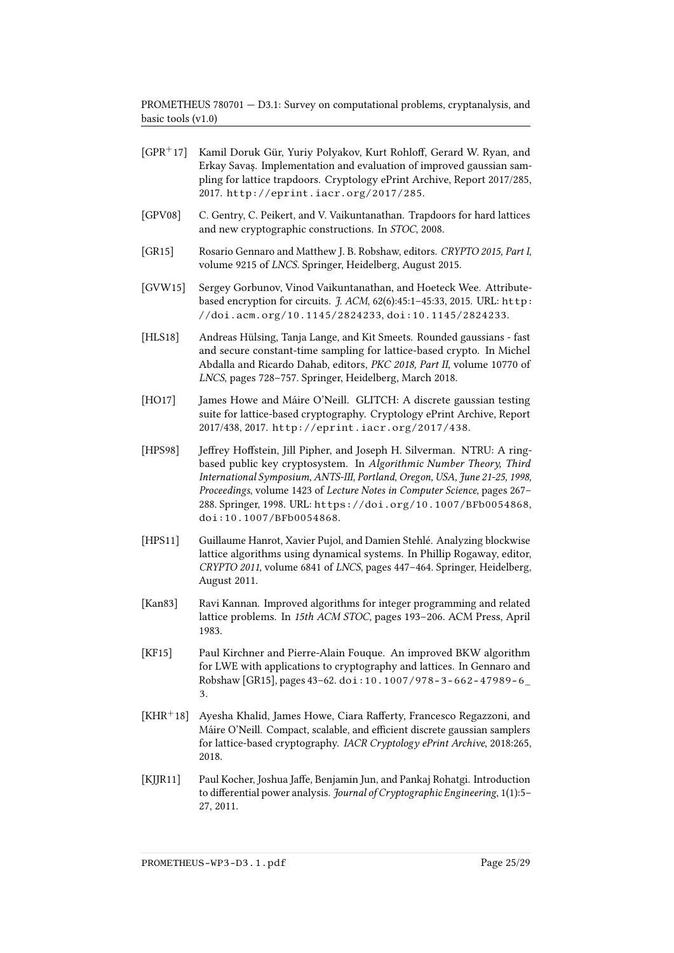- <span id="page-24-11"></span><span id="page-24-7"></span><span id="page-24-5"></span><span id="page-24-0"></span> $[GPR<sup>+</sup>17]$  Kamil Doruk Gür, Yuriy Polyakov, Kurt Rohloff, Gerard W. Ryan, and Erkay Savaş. Implementation and evaluation of improved gaussian sampling for lattice trapdoors. Cryptology ePrint Archive, Report 2017/285, 2017. <http://eprint.iacr.org/2017/285>. [GPV08] C. Gentry, C. Peikert, and V. Vaikuntanathan. Trapdoors for hard lattices and new cryptographic constructions. In STOC, 2008. [GR15] Rosario Gennaro and Matthew J. B. Robshaw, editors. CRYPTO 2015, Part I, volume 9215 of LNCS. Springer, Heidelberg, August 2015. [GVW15] Sergey Gorbunov, Vinod Vaikuntanathan, and Hoeteck Wee. Attributebased encryption for circuits. J. ACM, 62(6):45:1-45:33, 2015. URL: [http:](http://doi.acm.org/10.1145/2824233) [//doi.acm.org/10.1145/2824233](http://doi.acm.org/10.1145/2824233), [doi:10.1145/2824233](http://dx.doi.org/10.1145/2824233). [HLS18] Andreas Hülsing, Tanja Lange, and Kit Smeets. Rounded gaussians - fast and secure constant-time sampling for lattice-based crypto. In Michel Abdalla and Ricardo Dahab, editors, PKC 2018, Part II, volume 10770 of LNCS, pages 728–757. Springer, Heidelberg, March 2018. [HO17] James Howe and Máire O'Neill. GLITCH: A discrete gaussian testing suite for lattice-based cryptography. Cryptology ePrint Archive, Report 2017/438, 2017. <http://eprint.iacr.org/2017/438>.
- <span id="page-24-9"></span><span id="page-24-6"></span><span id="page-24-4"></span>[HPS98] Jeffrey Hoffstein, Jill Pipher, and Joseph H. Silverman. NTRU: A ringbased public key cryptosystem. In Algorithmic Number Theory, Third International Symposium, ANTS-III, Portland, Oregon, USA, June 21-25, 1998, Proceedings, volume 1423 of Lecture Notes in Computer Science, pages 267– 288. Springer, 1998. URL: <https://doi.org/10.1007/BFb0054868>, [doi:10.1007/BFb0054868](http://dx.doi.org/10.1007/BFb0054868).
- <span id="page-24-1"></span>[HPS11] Guillaume Hanrot, Xavier Pujol, and Damien Stehlé. Analyzing blockwise lattice algorithms using dynamical systems. In Phillip Rogaway, editor, CRYPTO 2011, volume 6841 of LNCS, pages 447–464. Springer, Heidelberg, August 2011.
- <span id="page-24-2"></span>[Kan83] Ravi Kannan. Improved algorithms for integer programming and related lattice problems. In 15th ACM STOC, pages 193–206. ACM Press, April 1983.
- <span id="page-24-3"></span>[KF15] Paul Kirchner and Pierre-Alain Fouque. An improved BKW algorithm for LWE with applications to cryptography and lattices. In Gennaro and Robshaw [\[GR15\]](#page-24-11), pages 43–62. [doi:10.1007/978-3-662-47989-6\\_](http://dx.doi.org/10.1007/978-3-662-47989-6_3) [3](http://dx.doi.org/10.1007/978-3-662-47989-6_3).
- <span id="page-24-8"></span> $[KHR+18]$  Ayesha Khalid, James Howe, Ciara Rafferty, Francesco Regazzoni, and Máire O'Neill. Compact, scalable, and efficient discrete gaussian samplers for lattice-based cryptography. IACR Cryptology ePrint Archive, 2018:265, 2018.
- <span id="page-24-10"></span>[KJJR11] Paul Kocher, Joshua Jaffe, Benjamin Jun, and Pankaj Rohatgi. Introduction to differential power analysis. Journal of Cryptographic Engineering, 1(1):5– 27, 2011.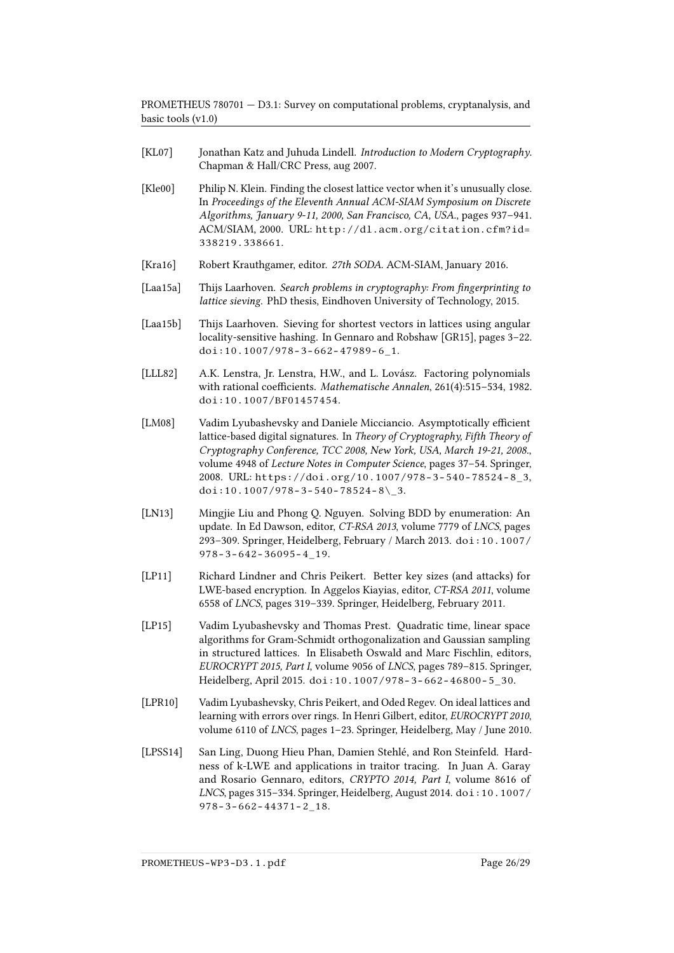- <span id="page-25-6"></span>[KL07] Jonathan Katz and Juhuda Lindell. Introduction to Modern Cryptography. Chapman & Hall/CRC Press, aug 2007.
- <span id="page-25-7"></span>[Kle00] Philip N. Klein. Finding the closest lattice vector when it's unusually close. In Proceedings of the Eleventh Annual ACM-SIAM Symposium on Discrete Algorithms, January 9-11, 2000, San Francisco, CA, USA., pages 937–941. ACM/SIAM, 2000. URL: [http://dl.acm.org/citation.cfm?id=](http://dl.acm.org/citation.cfm?id=338219.338661) [338219.338661](http://dl.acm.org/citation.cfm?id=338219.338661).
- <span id="page-25-11"></span>[Kra16] Robert Krauthgamer, editor. 27th SODA. ACM-SIAM, January 2016.
- <span id="page-25-5"></span>[Laa15a] Thijs Laarhoven. Search problems in cryptography: From fingerprinting to lattice sieving. PhD thesis, Eindhoven University of Technology, 2015.
- <span id="page-25-2"></span>[Laa15b] Thijs Laarhoven. Sieving for shortest vectors in lattices using angular locality-sensitive hashing. In Gennaro and Robshaw [\[GR15\]](#page-24-11), pages 3–22. [doi:10.1007/978-3-662-47989-6\\_1](http://dx.doi.org/10.1007/978-3-662-47989-6_1).
- <span id="page-25-1"></span>[LLL82] A.K. Lenstra, Jr. Lenstra, H.W., and L. Lovász. Factoring polynomials with rational coefficients. Mathematische Annalen, 261(4):515-534, 1982. [doi:10.1007/BF01457454](http://dx.doi.org/10.1007/BF01457454).
- <span id="page-25-9"></span>[LM08] Vadim Lyubashevsky and Daniele Micciancio. Asymptotically efficient lattice-based digital signatures. In Theory of Cryptography, Fifth Theory of Cryptography Conference, TCC 2008, New York, USA, March 19-21, 2008., volume 4948 of Lecture Notes in Computer Science, pages 37–54. Springer, 2008. URL: [https://doi.org/10.1007/978-3-540-78524-8\\_3](https://doi.org/10.1007/978-3-540-78524-8_3), doi:10.1007/978-3-540-78524-8\3.
- <span id="page-25-4"></span>[LN13] Mingjie Liu and Phong Q. Nguyen. Solving BDD by enumeration: An update. In Ed Dawson, editor, CT-RSA 2013, volume 7779 of LNCS, pages 293–309. Springer, Heidelberg, February / March 2013. [doi:10.1007/](http://dx.doi.org/10.1007/978-3-642-36095-4_19) [978-3-642-36095-4\\_19](http://dx.doi.org/10.1007/978-3-642-36095-4_19).
- <span id="page-25-3"></span>[LP11] Richard Lindner and Chris Peikert. Better key sizes (and attacks) for LWE-based encryption. In Aggelos Kiayias, editor, CT-RSA 2011, volume 6558 of LNCS, pages 319–339. Springer, Heidelberg, February 2011.
- <span id="page-25-8"></span>[LP15] Vadim Lyubashevsky and Thomas Prest. Quadratic time, linear space algorithms for Gram-Schmidt orthogonalization and Gaussian sampling in structured lattices. In Elisabeth Oswald and Marc Fischlin, editors, EUROCRYPT 2015, Part I, volume 9056 of LNCS, pages 789–815. Springer, Heidelberg, April 2015. [doi:10.1007/978-3-662-46800-5\\_30](http://dx.doi.org/10.1007/978-3-662-46800-5_30).
- <span id="page-25-0"></span>[LPR10] Vadim Lyubashevsky, Chris Peikert, and Oded Regev. On ideal lattices and learning with errors over rings. In Henri Gilbert, editor, EUROCRYPT 2010, volume 6110 of LNCS, pages 1–23. Springer, Heidelberg, May / June 2010.
- <span id="page-25-10"></span>[LPSS14] San Ling, Duong Hieu Phan, Damien Stehlé, and Ron Steinfeld. Hardness of k-LWE and applications in traitor tracing. In Juan A. Garay and Rosario Gennaro, editors, CRYPTO 2014, Part I, volume 8616 of LNCS, pages 315–334. Springer, Heidelberg, August 2014. [doi:10.1007/](http://dx.doi.org/10.1007/978-3-662-44371-2_18) [978-3-662-44371-2\\_18](http://dx.doi.org/10.1007/978-3-662-44371-2_18).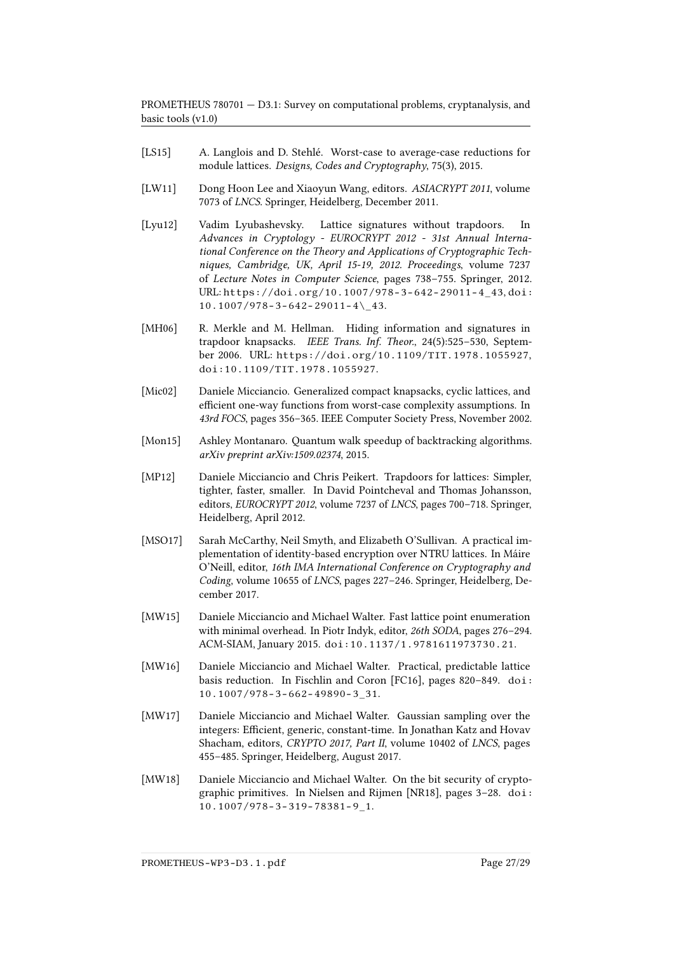- <span id="page-26-1"></span>[LS15] A. Langlois and D. Stehlé. Worst-case to average-case reductions for module lattices. Designs, Codes and Cryptography, 75(3), 2015.
- <span id="page-26-11"></span>[LW11] Dong Hoon Lee and Xiaoyun Wang, editors. ASIACRYPT 2011, volume 7073 of LNCS. Springer, Heidelberg, December 2011.
- <span id="page-26-10"></span>[Lyu12] Vadim Lyubashevsky. Lattice signatures without trapdoors. In Advances in Cryptology - EUROCRYPT 2012 - 31st Annual International Conference on the Theory and Applications of Cryptographic Techniques, Cambridge, UK, April 15-19, 2012. Proceedings, volume 7237 of Lecture Notes in Computer Science, pages 738–755. Springer, 2012. URL: [https://doi.org/10.1007/978-3-642-29011-4\\_43](https://doi.org/10.1007/978-3-642-29011-4_43), [doi:](http://dx.doi.org/10.1007/978-3-642-29011-4_43)  $10.1007/978 - 3 - 642 - 29011 - 4$  43.
- <span id="page-26-5"></span>[MH06] R. Merkle and M. Hellman. Hiding information and signatures in trapdoor knapsacks. IEEE Trans. Inf. Theor., 24(5):525–530, September 2006. URL: <https://doi.org/10.1109/TIT.1978.1055927>, [doi:10.1109/TIT.1978.1055927](http://dx.doi.org/10.1109/TIT.1978.1055927).
- <span id="page-26-0"></span>[Mic02] Daniele Micciancio. Generalized compact knapsacks, cyclic lattices, and efficient one-way functions from worst-case complexity assumptions. In 43rd FOCS, pages 356–365. IEEE Computer Society Press, November 2002.
- <span id="page-26-4"></span>[Mon15] Ashley Montanaro. Quantum walk speedup of backtracking algorithms. arXiv preprint arXiv:1509.02374, 2015.
- <span id="page-26-6"></span>[MP12] Daniele Micciancio and Chris Peikert. Trapdoors for lattices: Simpler, tighter, faster, smaller. In David Pointcheval and Thomas Johansson, editors, EUROCRYPT 2012, volume 7237 of LNCS, pages 700–718. Springer, Heidelberg, April 2012.
- <span id="page-26-9"></span>[MSO17] Sarah McCarthy, Neil Smyth, and Elizabeth O'Sullivan. A practical implementation of identity-based encryption over NTRU lattices. In Máire O'Neill, editor, 16th IMA International Conference on Cryptography and Coding, volume 10655 of LNCS, pages 227–246. Springer, Heidelberg, December 2017.
- <span id="page-26-3"></span>[MW15] Daniele Micciancio and Michael Walter. Fast lattice point enumeration with minimal overhead. In Piotr Indyk, editor, 26th SODA, pages 276–294. ACM-SIAM, January 2015. [doi:10.1137/1.9781611973730.21](http://dx.doi.org/10.1137/1.9781611973730.21).
- <span id="page-26-2"></span>[MW16] Daniele Micciancio and Michael Walter. Practical, predictable lattice basis reduction. In Fischlin and Coron [\[FC16\]](#page-23-11), pages 820–849. [doi:](http://dx.doi.org/10.1007/978-3-662-49890-3_31) [10.1007/978-3-662-49890-3\\_31](http://dx.doi.org/10.1007/978-3-662-49890-3_31).
- <span id="page-26-7"></span>[MW17] Daniele Micciancio and Michael Walter. Gaussian sampling over the integers: Efficient, generic, constant-time. In Jonathan Katz and Hovav Shacham, editors, CRYPTO 2017, Part II, volume 10402 of LNCS, pages 455–485. Springer, Heidelberg, August 2017.
- <span id="page-26-8"></span>[MW18] Daniele Micciancio and Michael Walter. On the bit security of cryptographic primitives. In Nielsen and Rijmen [\[NR18\]](#page-27-10), pages 3–28. [doi:](http://dx.doi.org/10.1007/978-3-319-78381-9_1) [10.1007/978-3-319-78381-9\\_1](http://dx.doi.org/10.1007/978-3-319-78381-9_1).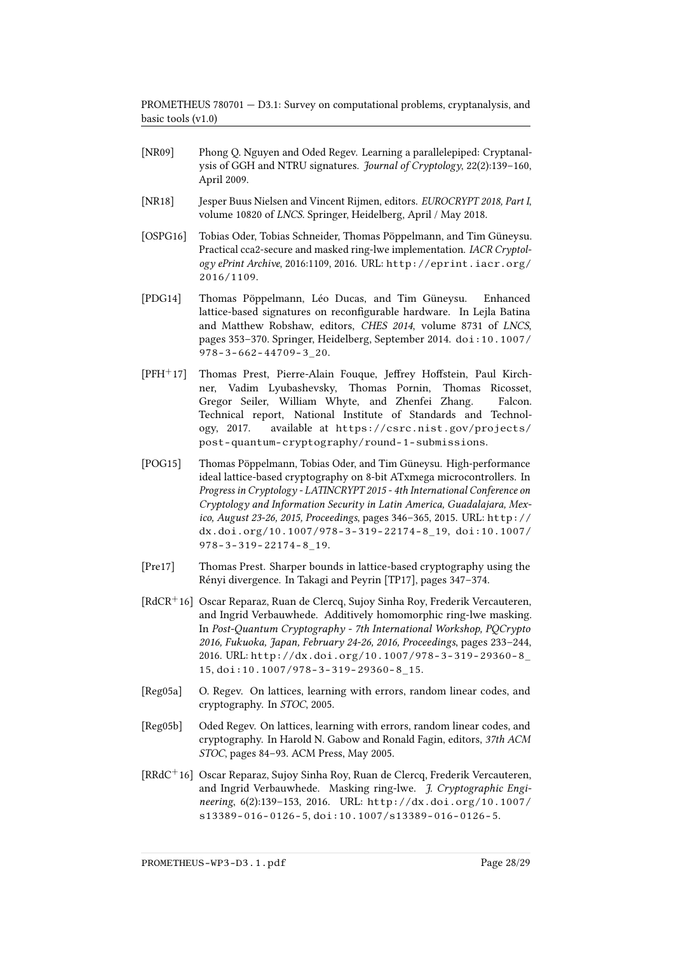- <span id="page-27-2"></span>[NR09] Phong Q. Nguyen and Oded Regev. Learning a parallelepiped: Cryptanalysis of GGH and NTRU signatures. Journal of Cryptology, 22(2):139–160, April 2009.
- <span id="page-27-10"></span>[NR18] Jesper Buus Nielsen and Vincent Rijmen, editors. EUROCRYPT 2018, Part I, volume 10820 of LNCS. Springer, Heidelberg, April / May 2018.
- <span id="page-27-8"></span>[OSPG16] Tobias Oder, Tobias Schneider, Thomas Pöppelmann, and Tim Güneysu. Practical cca2-secure and masked ring-lwe implementation. IACR Cryptology ePrint Archive, 2016:1109, 2016. URL: [http://eprint.iacr.org/](http://eprint.iacr.org/2016/1109) [2016/1109](http://eprint.iacr.org/2016/1109).
- <span id="page-27-3"></span>[PDG14] Thomas Pöppelmann, Léo Ducas, and Tim Güneysu. Enhanced lattice-based signatures on reconfigurable hardware. In Lejla Batina and Matthew Robshaw, editors, CHES 2014, volume 8731 of LNCS, pages 353–370. Springer, Heidelberg, September 2014. [doi:10.1007/](http://dx.doi.org/10.1007/978-3-662-44709-3_20) [978-3-662-44709-3\\_20](http://dx.doi.org/10.1007/978-3-662-44709-3_20).
- <span id="page-27-5"></span>[PFH<sup>+</sup>17] Thomas Prest, Pierre-Alain Fouque, Jeffrey Hoffstein, Paul Kirchner, Vadim Lyubashevsky, Thomas Pornin, Thomas Ricosset, Gregor Seiler, William Whyte, and Zhenfei Zhang. Falcon. Technical report, National Institute of Standards and Technology, 2017. available at [https://csrc.nist.gov/projects/](https://csrc.nist.gov/projects/post-quantum-cryptography/round-1-submissions) [post-quantum-cryptography/round-1-submissions](https://csrc.nist.gov/projects/post-quantum-cryptography/round-1-submissions).
- <span id="page-27-9"></span>[POG15] Thomas Pöppelmann, Tobias Oder, and Tim Güneysu. High-performance ideal lattice-based cryptography on 8-bit ATxmega microcontrollers. In Progress in Cryptology - LATINCRYPT 2015 - 4th International Conference on Cryptology and Information Security in Latin America, Guadalajara, Mexico, August 23-26, 2015, Proceedings, pages 346–365, 2015. URL: [http://](http://dx.doi.org/10.1007/978-3-319-22174-8_19) [dx.doi.org/10.1007/978-3-319-22174-8\\_19](http://dx.doi.org/10.1007/978-3-319-22174-8_19), [doi:10.1007/](http://dx.doi.org/10.1007/978-3-319-22174-8_19) [978-3-319-22174-8\\_19](http://dx.doi.org/10.1007/978-3-319-22174-8_19).
- <span id="page-27-4"></span>[Pre17] Thomas Prest. Sharper bounds in lattice-based cryptography using the Rényi divergence. In Takagi and Peyrin [\[TP17\]](#page-28-5), pages 347–374.
- <span id="page-27-7"></span>[RdCR<sup>+</sup>16] Oscar Reparaz, Ruan de Clercq, Sujoy Sinha Roy, Frederik Vercauteren, and Ingrid Verbauwhede. Additively homomorphic ring-lwe masking. In Post-Quantum Cryptography - 7th International Workshop, PQCrypto 2016, Fukuoka, Japan, February 24-26, 2016, Proceedings, pages 233–244, 2016. URL: [http://dx.doi.org/10.1007/978-3-319-29360-8\\_](http://dx.doi.org/10.1007/978-3-319-29360-8_15) [15](http://dx.doi.org/10.1007/978-3-319-29360-8_15), [doi:10.1007/978-3-319-29360-8\\_15](http://dx.doi.org/10.1007/978-3-319-29360-8_15).
- <span id="page-27-1"></span>[Reg05a] O. Regev. On lattices, learning with errors, random linear codes, and cryptography. In STOC, 2005.
- <span id="page-27-0"></span>[Reg05b] Oded Regev. On lattices, learning with errors, random linear codes, and cryptography. In Harold N. Gabow and Ronald Fagin, editors, 37th ACM STOC, pages 84–93. ACM Press, May 2005.
- <span id="page-27-6"></span>[RRdC<sup>+</sup>16] Oscar Reparaz, Sujoy Sinha Roy, Ruan de Clercq, Frederik Vercauteren, and Ingrid Verbauwhede. Masking ring-lwe. J. Cryptographic Engineering, 6(2):139–153, 2016. URL: [http://dx.doi.org/10.1007/](http://dx.doi.org/10.1007/s13389-016-0126-5) [s13389-016-0126-5](http://dx.doi.org/10.1007/s13389-016-0126-5), [doi:10.1007/s13389-016-0126-5](http://dx.doi.org/10.1007/s13389-016-0126-5).